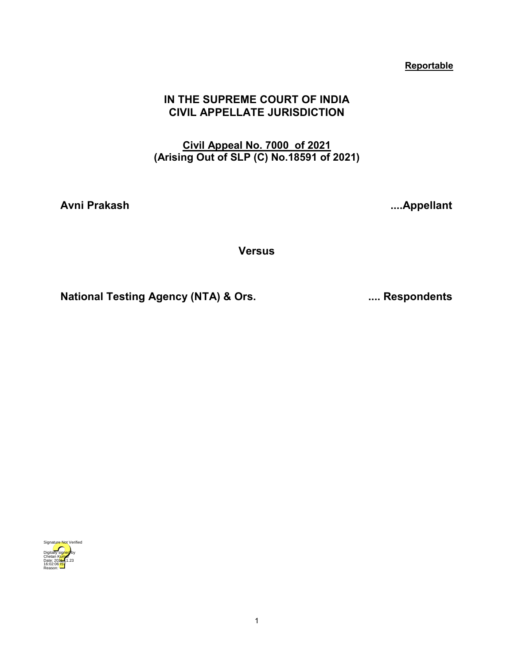# **Reportable**

# **IN THE SUPREME COURT OF INDIA CIVIL APPELLATE JURISDICTION**

# **Civil Appeal No. 7000 of 2021 (Arising Out of SLP (C) No.18591 of 2021)**

**Avni Prakash ....Appellant** 

**Versus**

**National Testing Agency (NTA) & Ors. .... Respondents**

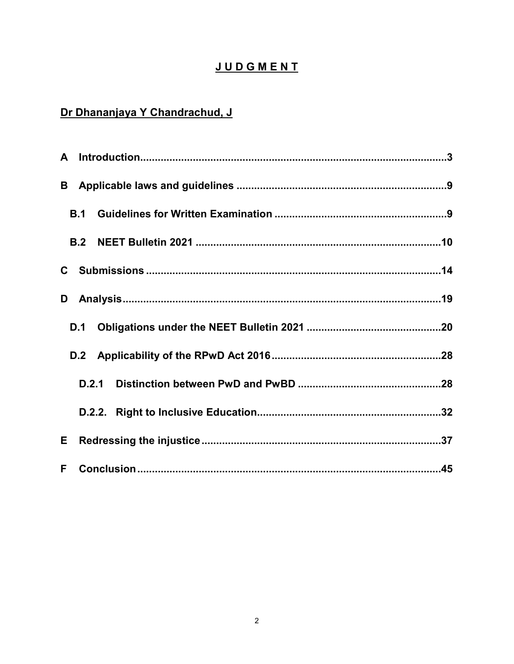# **JUDGMENT**

# Dr Dhananjaya Y Chandrachud, J

<span id="page-1-0"></span>

|    | B.1   |  |  |
|----|-------|--|--|
|    |       |  |  |
|    |       |  |  |
| D  |       |  |  |
|    | D.1   |  |  |
|    |       |  |  |
|    | D.2.1 |  |  |
|    |       |  |  |
| Е  |       |  |  |
| F. |       |  |  |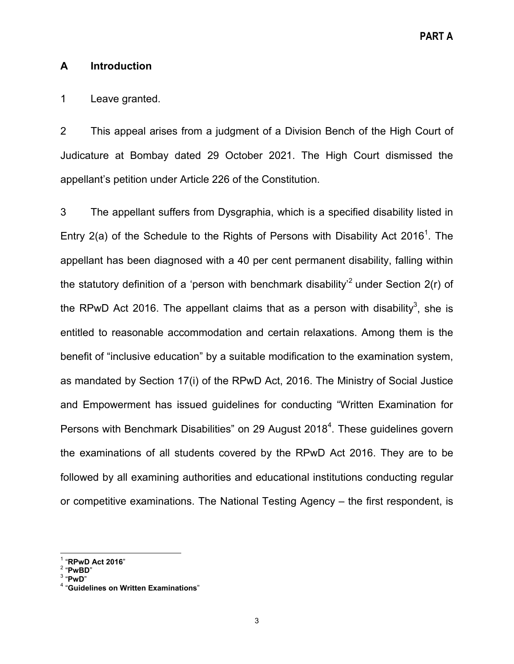# **A Introduction**

# 1 Leave granted.

2 This appeal arises from a judgment of a Division Bench of the High Court of Judicature at Bombay dated 29 October 2021. The High Court dismissed the appellant's petition under Article 226 of the Constitution.

3 The appellant suffers from Dysgraphia, which is a specified disability listed in Entry 2(a) of the Schedule to the Rights of Persons with Disability Act 2016<sup>1</sup>. The appellant has been diagnosed with a 40 per cent permanent disability, falling within the statutory definition of a 'person with benchmark disability<sup>2</sup> under Section  $2(r)$  of the RPwD Act 2016. The appellant claims that as a person with disability $^3$ , she is entitled to reasonable accommodation and certain relaxations. Among them is the benefit of "inclusive education" by a suitable modification to the examination system, as mandated by Section 17(i) of the RPwD Act, 2016. The Ministry of Social Justice and Empowerment has issued guidelines for conducting "Written Examination for Persons with Benchmark Disabilities" on 29 August 2018 $^4$ . These guidelines govern the examinations of all students covered by the RPwD Act 2016. They are to be followed by all examining authorities and educational institutions conducting regular or competitive examinations. The National Testing Agency – the first respondent, is

<sup>&</sup>lt;sup>1</sup> "RPwD Act 2016"<br><sup>2</sup> "PwBD"<br><sup>3</sup> "PwD"<br><sup>4</sup> "Guidelines on Written Examinations"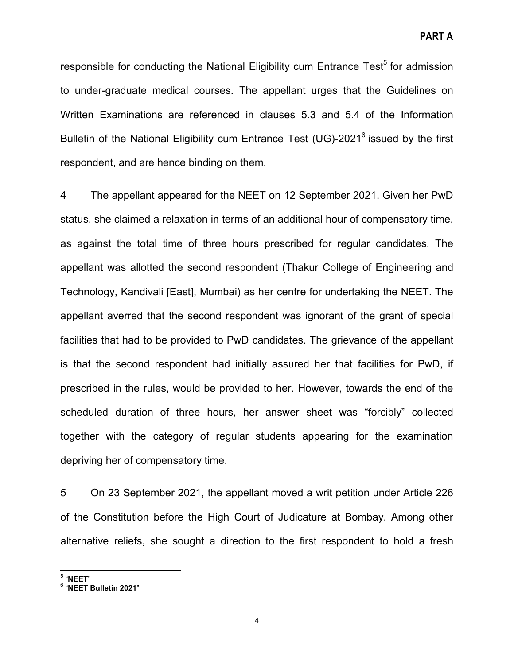responsible for conducting the National Eligibility cum Entrance Test<sup>5</sup> for admission to under-graduate medical courses. The appellant urges that the Guidelines on Written Examinations are referenced in clauses 5.3 and 5.4 of the Information Bulletin of the National Eligibility cum Entrance Test (UG)-2021<sup>6</sup> issued by the first respondent, and are hence binding on them.

4 The appellant appeared for the NEET on 12 September 2021. Given her PwD status, she claimed a relaxation in terms of an additional hour of compensatory time, as against the total time of three hours prescribed for regular candidates. The appellant was allotted the second respondent (Thakur College of Engineering and Technology, Kandivali [East], Mumbai) as her centre for undertaking the NEET. The appellant averred that the second respondent was ignorant of the grant of special facilities that had to be provided to PwD candidates. The grievance of the appellant is that the second respondent had initially assured her that facilities for PwD, if prescribed in the rules, would be provided to her. However, towards the end of the scheduled duration of three hours, her answer sheet was "forcibly" collected together with the category of regular students appearing for the examination depriving her of compensatory time.

5 On 23 September 2021, the appellant moved a writ petition under Article 226 of the Constitution before the High Court of Judicature at Bombay. Among other alternative reliefs, she sought a direction to the first respondent to hold a fresh

<sup>5</sup> "**NEET**" <sup>6</sup> "**NEET Bulletin 2021**"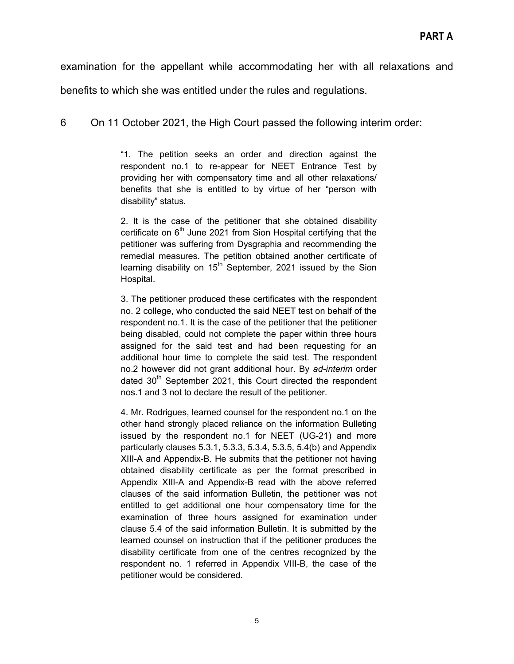examination for the appellant while accommodating her with all relaxations and

benefits to which she was entitled under the rules and regulations.

6 On 11 October 2021, the High Court passed the following interim order:

"1. The petition seeks an order and direction against the respondent no.1 to re-appear for NEET Entrance Test by providing her with compensatory time and all other relaxations/ benefits that she is entitled to by virtue of her "person with disability" status.

2. It is the case of the petitioner that she obtained disability certificate on  $6<sup>th</sup>$  June 2021 from Sion Hospital certifying that the petitioner was suffering from Dysgraphia and recommending the remedial measures. The petition obtained another certificate of learning disability on  $15<sup>th</sup>$  September, 2021 issued by the Sion Hospital.

3. The petitioner produced these certificates with the respondent no. 2 college, who conducted the said NEET test on behalf of the respondent no.1. It is the case of the petitioner that the petitioner being disabled, could not complete the paper within three hours assigned for the said test and had been requesting for an additional hour time to complete the said test. The respondent no.2 however did not grant additional hour. By *ad-interim* order dated  $30<sup>th</sup>$  September 2021, this Court directed the respondent nos.1 and 3 not to declare the result of the petitioner.

4. Mr. Rodrigues, learned counsel for the respondent no.1 on the other hand strongly placed reliance on the information Bulleting issued by the respondent no.1 for NEET (UG-21) and more particularly clauses 5.3.1, 5.3.3, 5.3.4, 5.3.5, 5.4(b) and Appendix XIII-A and Appendix-B. He submits that the petitioner not having obtained disability certificate as per the format prescribed in Appendix XIII-A and Appendix-B read with the above referred clauses of the said information Bulletin, the petitioner was not entitled to get additional one hour compensatory time for the examination of three hours assigned for examination under clause 5.4 of the said information Bulletin. It is submitted by the learned counsel on instruction that if the petitioner produces the disability certificate from one of the centres recognized by the respondent no. 1 referred in Appendix VIII-B, the case of the petitioner would be considered.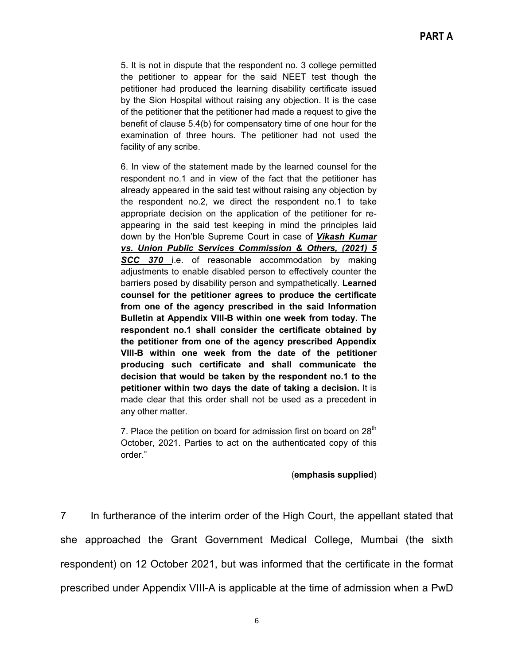5. It is not in dispute that the respondent no. 3 college permitted the petitioner to appear for the said NEET test though the petitioner had produced the learning disability certificate issued by the Sion Hospital without raising any objection. It is the case of the petitioner that the petitioner had made a request to give the benefit of clause 5.4(b) for compensatory time of one hour for the examination of three hours. The petitioner had not used the facility of any scribe.

6. In view of the statement made by the learned counsel for the respondent no.1 and in view of the fact that the petitioner has already appeared in the said test without raising any objection by the respondent no.2, we direct the respondent no.1 to take appropriate decision on the application of the petitioner for reappearing in the said test keeping in mind the principles laid down by the Hon'ble Supreme Court in case of *Vikash Kumar vs. Union Public Services Commission & Others, (2021) 5 SCC 370* i.e. of reasonable accommodation by making adjustments to enable disabled person to effectively counter the barriers posed by disability person and sympathetically. **Learned counsel for the petitioner agrees to produce the certificate from one of the agency prescribed in the said Information Bulletin at Appendix VIII-B within one week from today. The respondent no.1 shall consider the certificate obtained by the petitioner from one of the agency prescribed Appendix VIII-B within one week from the date of the petitioner producing such certificate and shall communicate the decision that would be taken by the respondent no.1 to the petitioner within two days the date of taking a decision.** It is made clear that this order shall not be used as a precedent in any other matter.

7. Place the petition on board for admission first on board on  $28<sup>th</sup>$ October, 2021. Parties to act on the authenticated copy of this order."

#### (**emphasis supplied**)

7 In furtherance of the interim order of the High Court, the appellant stated that she approached the Grant Government Medical College, Mumbai (the sixth respondent) on 12 October 2021, but was informed that the certificate in the format prescribed under Appendix VIII-A is applicable at the time of admission when a PwD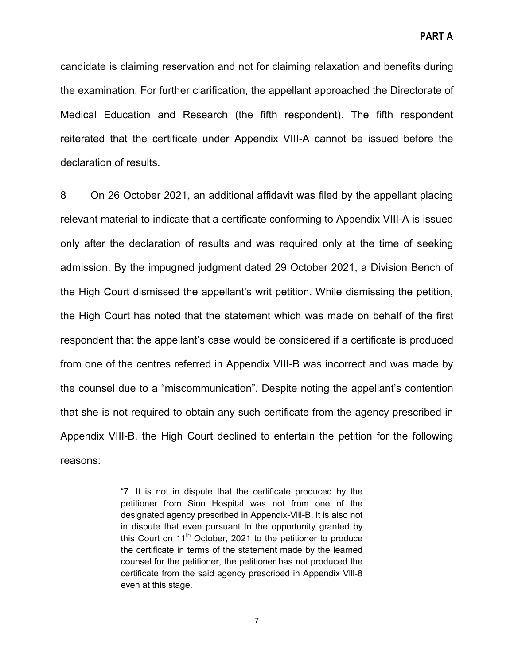candidate is claiming reservation and not for claiming relaxation and benefits during the examination. For further clarification, the appellant approached the Directorate of Medical Education and Research (the fifth respondent). The fifth respondent reiterated that the certificate under Appendix VIII-A cannot be issued before the declaration of results.

8 On 26 October 2021, an additional affidavit was filed by the appellant placing relevant material to indicate that a certificate conforming to Appendix VIII-A is issued only after the declaration of results and was required only at the time of seeking admission. By the impugned judgment dated 29 October 2021, a Division Bench of the High Court dismissed the appellant's writ petition. While dismissing the petition, the High Court has noted that the statement which was made on behalf of the first respondent that the appellant's case would be considered if a certificate is produced from one of the centres referred in Appendix VIII-B was incorrect and was made by the counsel due to a "miscommunication". Despite noting the appellant's contention that she is not required to obtain any such certificate from the agency prescribed in Appendix VIII-B, the High Court declined to entertain the petition for the following reasons:

> "7. It is not in dispute that the certificate produced by the petitioner from Sion Hospital was not from one of the designated agency prescribed in Appendix-Vlll-B. lt is also not in dispute that even pursuant to the opportunity granted by this Court on  $11<sup>th</sup>$  October, 2021 to the petitioner to produce the certificate in terms of the statement made by the learned counsel for the petitioner, the petitioner has not produced the certificate from the said agency prescribed in Appendix Vlll-8 even at this stage.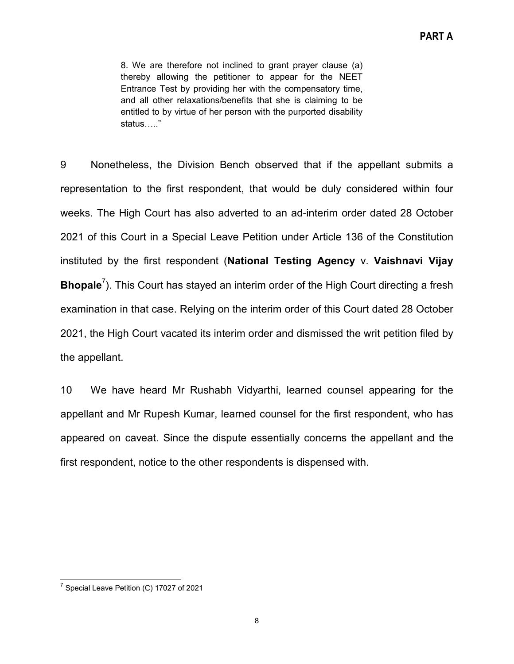8. We are therefore not inclined to grant prayer clause (a) thereby allowing the petitioner to appear for the NEET Entrance Test by providing her with the compensatory time, and all other relaxations/benefits that she is claiming to be entitled to by virtue of her person with the purported disability status….."

9 Nonetheless, the Division Bench observed that if the appellant submits a representation to the first respondent, that would be duly considered within four weeks. The High Court has also adverted to an ad-interim order dated 28 October 2021 of this Court in a Special Leave Petition under Article 136 of the Constitution instituted by the first respondent (**National Testing Agency** v. **Vaishnavi Vijay Bhopale**<sup>7</sup>). This Court has stayed an interim order of the High Court directing a fresh examination in that case. Relying on the interim order of this Court dated 28 October 2021, the High Court vacated its interim order and dismissed the writ petition filed by the appellant.

10 We have heard Mr Rushabh Vidyarthi, learned counsel appearing for the appellant and Mr Rupesh Kumar, learned counsel for the first respondent, who has appeared on caveat. Since the dispute essentially concerns the appellant and the first respondent, notice to the other respondents is dispensed with.

 $7$  Special Leave Petition (C) 17027 of 2021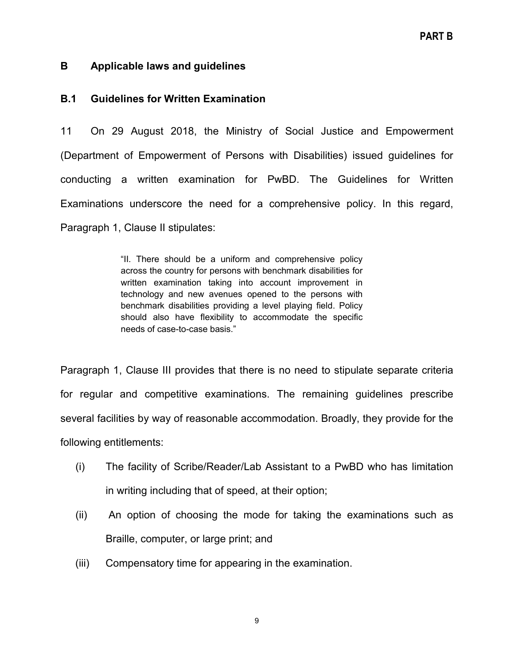# <span id="page-8-0"></span>**B Applicable laws and guidelines**

# <span id="page-8-1"></span>**B.1 Guidelines for Written Examination**

11 On 29 August 2018, the Ministry of Social Justice and Empowerment (Department of Empowerment of Persons with Disabilities) issued guidelines for conducting a written examination for PwBD. The Guidelines for Written Examinations underscore the need for a comprehensive policy. In this regard, Paragraph 1, Clause II stipulates:

> "II. There should be a uniform and comprehensive policy across the country for persons with benchmark disabilities for written examination taking into account improvement in technology and new avenues opened to the persons with benchmark disabilities providing a level playing field. Policy should also have flexibility to accommodate the specific needs of case-to-case basis."

Paragraph 1, Clause III provides that there is no need to stipulate separate criteria for regular and competitive examinations. The remaining guidelines prescribe several facilities by way of reasonable accommodation. Broadly, they provide for the following entitlements:

- (i) The facility of Scribe/Reader/Lab Assistant to a PwBD who has limitation in writing including that of speed, at their option;
- (ii) An option of choosing the mode for taking the examinations such as Braille, computer, or large print; and
- (iii) Compensatory time for appearing in the examination.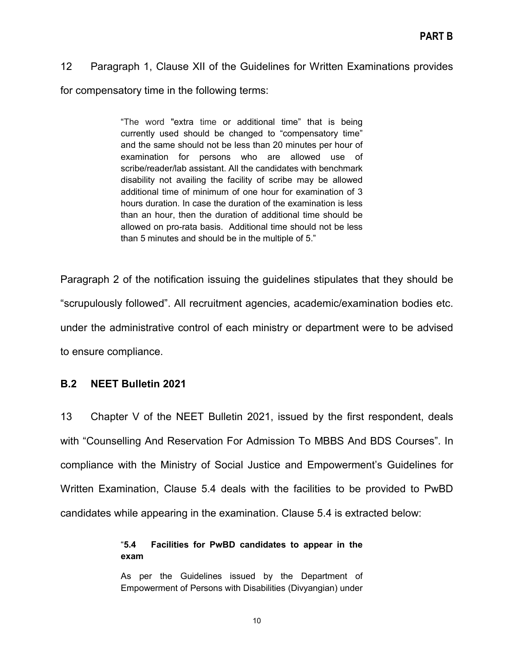# 12 Paragraph 1, Clause XII of the Guidelines for Written Examinations provides

for compensatory time in the following terms:

"The word "extra time or additional time" that is being currently used should be changed to "compensatory time" and the same should not be less than 20 minutes per hour of examination for persons who are allowed use of scribe/reader/lab assistant. All the candidates with benchmark disability not availing the facility of scribe may be allowed additional time of minimum of one hour for examination of 3 hours duration. In case the duration of the examination is less than an hour, then the duration of additional time should be allowed on pro-rata basis. Additional time should not be less than 5 minutes and should be in the multiple of 5."

Paragraph 2 of the notification issuing the guidelines stipulates that they should be "scrupulously followed". All recruitment agencies, academic/examination bodies etc. under the administrative control of each ministry or department were to be advised to ensure compliance.

# <span id="page-9-0"></span>**B.2 NEET Bulletin 2021**

13 Chapter V of the NEET Bulletin 2021, issued by the first respondent, deals with "Counselling And Reservation For Admission To MBBS And BDS Courses". In compliance with the Ministry of Social Justice and Empowerment's Guidelines for Written Examination, Clause 5.4 deals with the facilities to be provided to PwBD candidates while appearing in the examination. Clause 5.4 is extracted below:

# "**5.4 Facilities for PwBD candidates to appear in the exam**

As per the Guidelines issued by the Department of Empowerment of Persons with Disabilities (Divyangian) under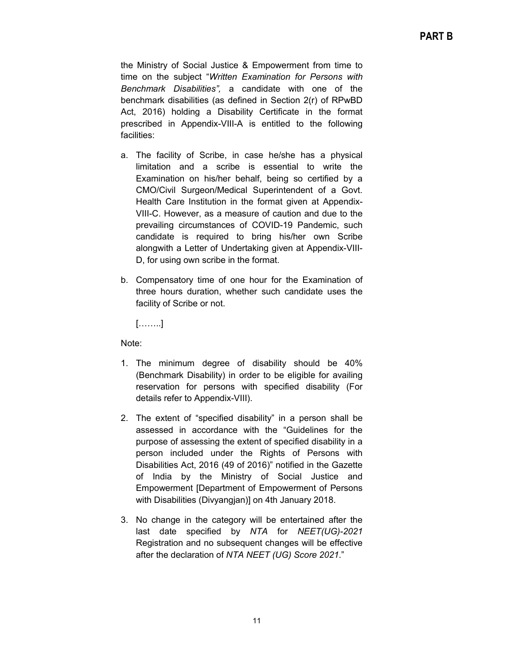the Ministry of Social Justice & Empowerment from time to time on the subject "*Written Examination for Persons with Benchmark Disabilities",* a candidate with one of the benchmark disabilities (as defined in Section 2(r) of RPwBD Act, 2016) holding a Disability Certificate in the format prescribed in Appendix-VIII-A is entitled to the following facilities:

- a. The facility of Scribe, in case he/she has a physical limitation and a scribe is essential to write the Examination on his/her behalf, being so certified by a CMO/Civil Surgeon/Medical Superintendent of a Govt. Health Care Institution in the format given at Appendix-VIII-C. However, as a measure of caution and due to the prevailing circumstances of COVID-19 Pandemic, such candidate is required to bring his/her own Scribe alongwith a Letter of Undertaking given at Appendix-VIII-D, for using own scribe in the format.
- b. Compensatory time of one hour for the Examination of three hours duration, whether such candidate uses the facility of Scribe or not.

[……..]

Note:

- 1. The minimum degree of disability should be 40% (Benchmark Disability) in order to be eligible for availing reservation for persons with specified disability (For details refer to Appendix-VIII).
- 2. The extent of "specified disability" in a person shall be assessed in accordance with the "Guidelines for the purpose of assessing the extent of specified disability in a person included under the Rights of Persons with Disabilities Act, 2016 (49 of 2016)" notified in the Gazette of India by the Ministry of Social Justice and Empowerment [Department of Empowerment of Persons with Disabilities (Divyangjan)] on 4th January 2018.
- 3. No change in the category will be entertained after the last date specified by *NTA* for *NEET(UG)-2021* Registration and no subsequent changes will be effective after the declaration of *NTA NEET (UG) Score 2021*."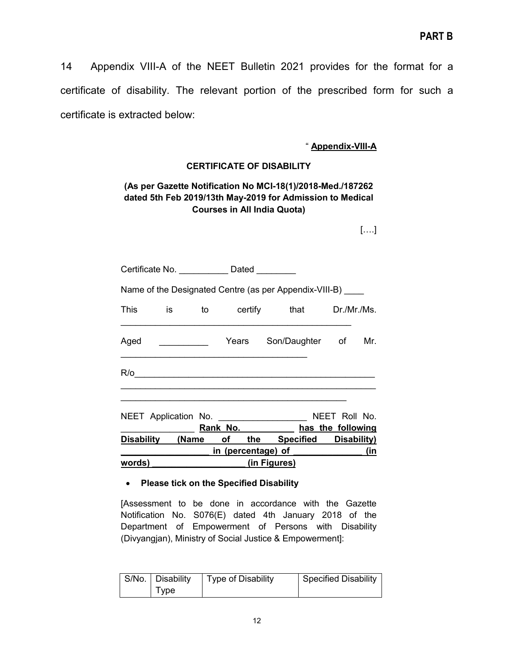14 Appendix VIII-A of the NEET Bulletin 2021 provides for the format for a certificate of disability. The relevant portion of the prescribed form for such a certificate is extracted below:

#### " **Appendix-VIII-A**

#### **CERTIFICATE OF DISABILITY**

#### **(As per Gazette Notification No MCI-18(1)/2018-Med./187262 dated 5th Feb 2019/13th May-2019 for Admission to Medical Courses in All India Quota)**

[….]

| words) (in Figures)                                         |                                               |  |  |  |                                                                                                                |  |  |     |
|-------------------------------------------------------------|-----------------------------------------------|--|--|--|----------------------------------------------------------------------------------------------------------------|--|--|-----|
|                                                             |                                               |  |  |  | and the same of the same of the same of the same of the same of the same of the same of the same of the same o |  |  |     |
| Disability (Name of the Specified Disability)               |                                               |  |  |  |                                                                                                                |  |  |     |
|                                                             |                                               |  |  |  | Rank No. has the following                                                                                     |  |  |     |
| NEET Application No. ________________________ NEET Roll No. |                                               |  |  |  |                                                                                                                |  |  |     |
|                                                             |                                               |  |  |  |                                                                                                                |  |  |     |
| Aged                                                        |                                               |  |  |  | Mears Son/Daughter of                                                                                          |  |  | Mr. |
|                                                             | This is to certify that Dr./Mr./Ms.           |  |  |  |                                                                                                                |  |  |     |
| Name of the Designated Centre (as per Appendix-VIII-B) ____ |                                               |  |  |  |                                                                                                                |  |  |     |
|                                                             | Certificate No. _____________ Dated _________ |  |  |  |                                                                                                                |  |  |     |

#### • **Please tick on the Specified Disability**

[Assessment to be done in accordance with the Gazette Notification No. S076(E) dated 4th January 2018 of the Department of Empowerment of Persons with Disability (Divyangjan), Ministry of Social Justice & Empowerment]:

| S/No.   Disability | <b>Type of Disability</b> | <b>Specified Disability</b> |
|--------------------|---------------------------|-----------------------------|
| I ype              |                           |                             |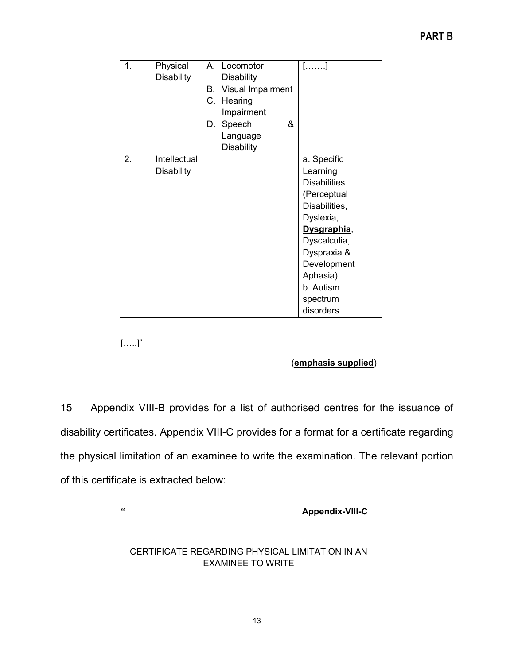| 1. | Physical<br><b>Disability</b>     | A. Locomotor<br><b>Disability</b><br>Visual Impairment<br>В.<br>С.<br>Hearing<br>Impairment<br>Speech<br>&<br>D.<br>Language | […….]                                                                                                                                                                                                      |
|----|-----------------------------------|------------------------------------------------------------------------------------------------------------------------------|------------------------------------------------------------------------------------------------------------------------------------------------------------------------------------------------------------|
| 2. | Intellectual<br><b>Disability</b> | <b>Disability</b>                                                                                                            | a. Specific<br>Learning<br><b>Disabilities</b><br>(Perceptual<br>Disabilities,<br>Dyslexia,<br>Dysgraphia,<br>Dyscalculia,<br>Dyspraxia &<br>Development<br>Aphasia)<br>b. Autism<br>spectrum<br>disorders |

 $[\ldots]$ "

# (**emphasis supplied**)

15 Appendix VIII-B provides for a list of authorised centres for the issuance of disability certificates. Appendix VIII-C provides for a format for a certificate regarding the physical limitation of an examinee to write the examination. The relevant portion of this certificate is extracted below:

**" Appendix-VIII-C**

#### CERTIFICATE REGARDING PHYSICAL LIMITATION IN AN EXAMINEE TO WRITE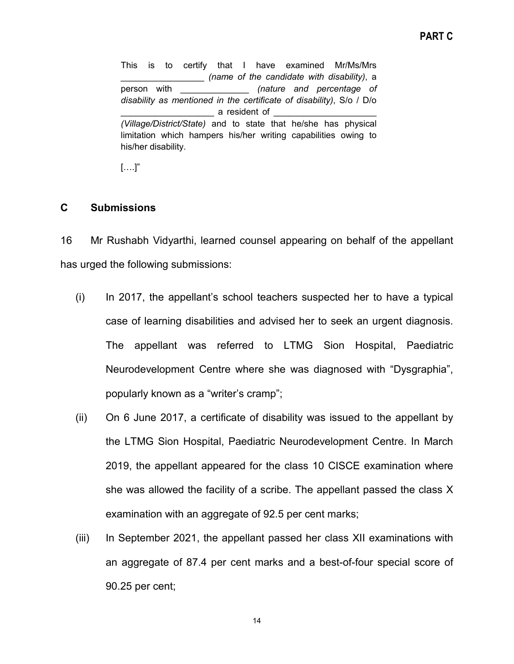This is to certify that I have examined Mr/Ms/Mrs \_\_\_\_\_\_\_\_\_\_\_\_\_\_\_\_\_ *(name of the candidate with disability)*, a person with \_\_\_\_\_\_\_\_\_\_\_\_\_\_ *(nature and percentage of disability as mentioned in the certificate of disability)*, S/o / D/o a resident of *(Village/District/State)* and to state that he/she has physical limitation which hampers his/her writing capabilities owing to his/her disability.

 $[\ldots]$ "

# <span id="page-13-0"></span>**C Submissions**

16 Mr Rushabh Vidyarthi, learned counsel appearing on behalf of the appellant has urged the following submissions:

- (i) In 2017, the appellant's school teachers suspected her to have a typical case of learning disabilities and advised her to seek an urgent diagnosis. The appellant was referred to LTMG Sion Hospital, Paediatric Neurodevelopment Centre where she was diagnosed with "Dysgraphia", popularly known as a "writer's cramp";
- (ii) On 6 June 2017, a certificate of disability was issued to the appellant by the LTMG Sion Hospital, Paediatric Neurodevelopment Centre. In March 2019, the appellant appeared for the class 10 CISCE examination where she was allowed the facility of a scribe. The appellant passed the class X examination with an aggregate of 92.5 per cent marks;
- (iii) In September 2021, the appellant passed her class XII examinations with an aggregate of 87.4 per cent marks and a best-of-four special score of 90.25 per cent;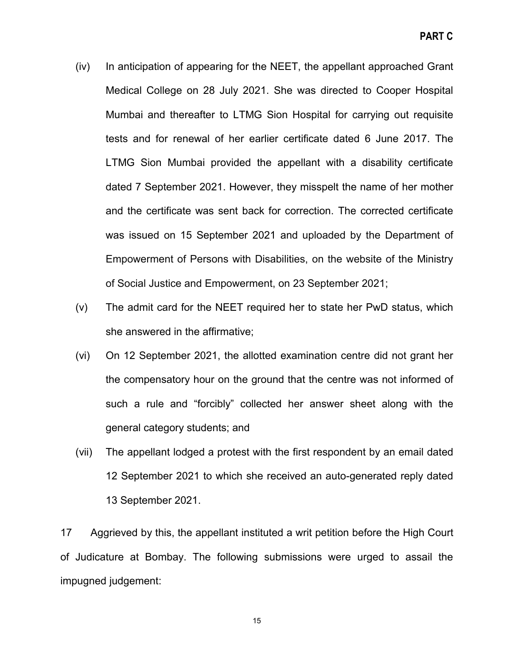- (iv) In anticipation of appearing for the NEET, the appellant approached Grant Medical College on 28 July 2021. She was directed to Cooper Hospital Mumbai and thereafter to LTMG Sion Hospital for carrying out requisite tests and for renewal of her earlier certificate dated 6 June 2017. The LTMG Sion Mumbai provided the appellant with a disability certificate dated 7 September 2021. However, they misspelt the name of her mother and the certificate was sent back for correction. The corrected certificate was issued on 15 September 2021 and uploaded by the Department of Empowerment of Persons with Disabilities, on the website of the Ministry of Social Justice and Empowerment, on 23 September 2021;
- (v) The admit card for the NEET required her to state her PwD status, which she answered in the affirmative;
- (vi) On 12 September 2021, the allotted examination centre did not grant her the compensatory hour on the ground that the centre was not informed of such a rule and "forcibly" collected her answer sheet along with the general category students; and
- (vii) The appellant lodged a protest with the first respondent by an email dated 12 September 2021 to which she received an auto-generated reply dated 13 September 2021.

17 Aggrieved by this, the appellant instituted a writ petition before the High Court of Judicature at Bombay. The following submissions were urged to assail the impugned judgement: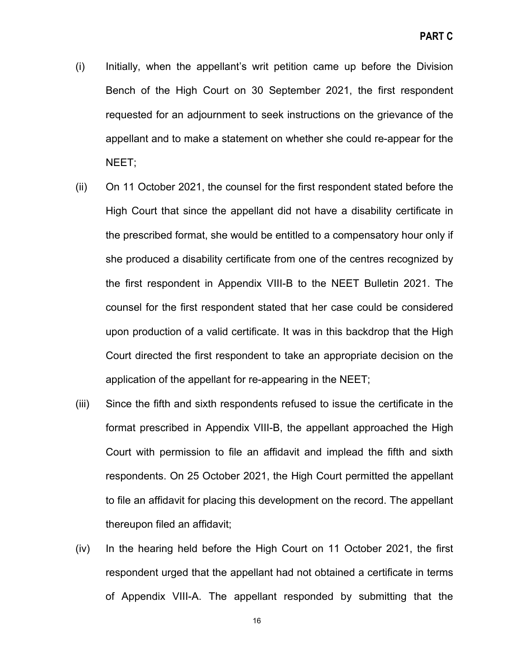- (i) Initially, when the appellant's writ petition came up before the Division Bench of the High Court on 30 September 2021, the first respondent requested for an adjournment to seek instructions on the grievance of the appellant and to make a statement on whether she could re-appear for the NEET;
- (ii) On 11 October 2021, the counsel for the first respondent stated before the High Court that since the appellant did not have a disability certificate in the prescribed format, she would be entitled to a compensatory hour only if she produced a disability certificate from one of the centres recognized by the first respondent in Appendix VIII-B to the NEET Bulletin 2021. The counsel for the first respondent stated that her case could be considered upon production of a valid certificate. It was in this backdrop that the High Court directed the first respondent to take an appropriate decision on the application of the appellant for re-appearing in the NEET;
- (iii) Since the fifth and sixth respondents refused to issue the certificate in the format prescribed in Appendix VIII-B, the appellant approached the High Court with permission to file an affidavit and implead the fifth and sixth respondents. On 25 October 2021, the High Court permitted the appellant to file an affidavit for placing this development on the record. The appellant thereupon filed an affidavit;
- (iv) In the hearing held before the High Court on 11 October 2021, the first respondent urged that the appellant had not obtained a certificate in terms of Appendix VIII-A. The appellant responded by submitting that the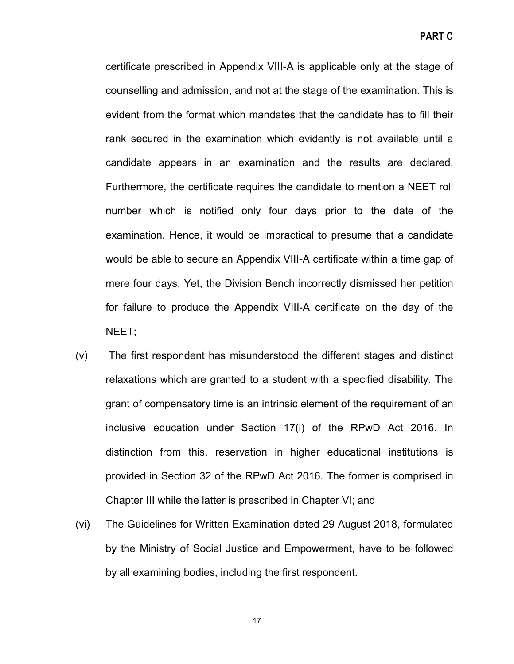certificate prescribed in Appendix VIII-A is applicable only at the stage of counselling and admission, and not at the stage of the examination. This is evident from the format which mandates that the candidate has to fill their rank secured in the examination which evidently is not available until a candidate appears in an examination and the results are declared. Furthermore, the certificate requires the candidate to mention a NEET roll number which is notified only four days prior to the date of the examination. Hence, it would be impractical to presume that a candidate would be able to secure an Appendix VIII-A certificate within a time gap of mere four days. Yet, the Division Bench incorrectly dismissed her petition for failure to produce the Appendix VIII-A certificate on the day of the NEET;

- (v) The first respondent has misunderstood the different stages and distinct relaxations which are granted to a student with a specified disability. The grant of compensatory time is an intrinsic element of the requirement of an inclusive education under Section 17(i) of the RPwD Act 2016. In distinction from this, reservation in higher educational institutions is provided in Section 32 of the RPwD Act 2016. The former is comprised in Chapter III while the latter is prescribed in Chapter VI; and
- (vi) The Guidelines for Written Examination dated 29 August 2018, formulated by the Ministry of Social Justice and Empowerment, have to be followed by all examining bodies, including the first respondent.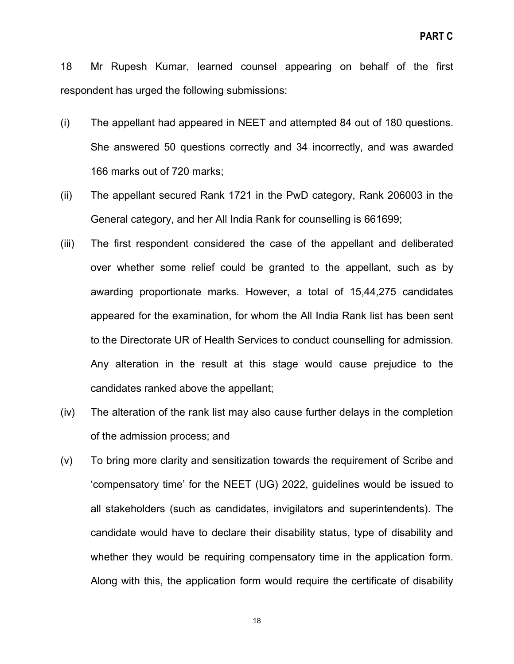18 Mr Rupesh Kumar, learned counsel appearing on behalf of the first respondent has urged the following submissions:

- (i) The appellant had appeared in NEET and attempted 84 out of 180 questions. She answered 50 questions correctly and 34 incorrectly, and was awarded 166 marks out of 720 marks;
- (ii) The appellant secured Rank 1721 in the PwD category, Rank 206003 in the General category, and her All India Rank for counselling is 661699;
- (iii) The first respondent considered the case of the appellant and deliberated over whether some relief could be granted to the appellant, such as by awarding proportionate marks. However, a total of 15,44,275 candidates appeared for the examination, for whom the All India Rank list has been sent to the Directorate UR of Health Services to conduct counselling for admission. Any alteration in the result at this stage would cause prejudice to the candidates ranked above the appellant;
- (iv) The alteration of the rank list may also cause further delays in the completion of the admission process; and
- (v) To bring more clarity and sensitization towards the requirement of Scribe and 'compensatory time' for the NEET (UG) 2022, guidelines would be issued to all stakeholders (such as candidates, invigilators and superintendents). The candidate would have to declare their disability status, type of disability and whether they would be requiring compensatory time in the application form. Along with this, the application form would require the certificate of disability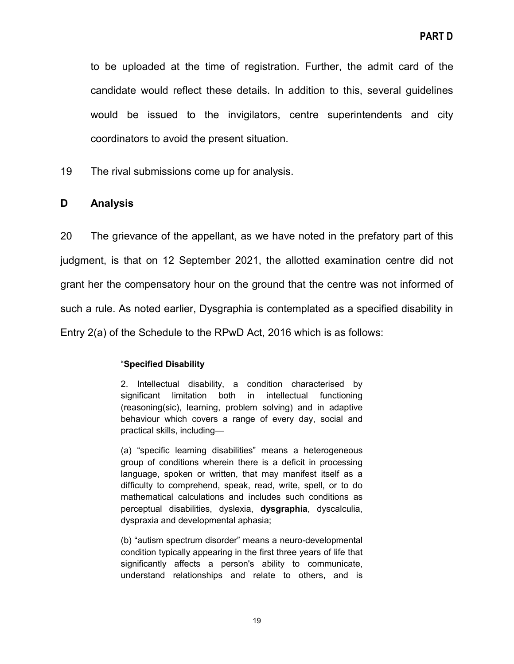to be uploaded at the time of registration. Further, the admit card of the candidate would reflect these details. In addition to this, several guidelines would be issued to the invigilators, centre superintendents and city coordinators to avoid the present situation.

19 The rival submissions come up for analysis.

#### <span id="page-18-0"></span>**D Analysis**

20 The grievance of the appellant, as we have noted in the prefatory part of this judgment, is that on 12 September 2021, the allotted examination centre did not grant her the compensatory hour on the ground that the centre was not informed of such a rule. As noted earlier, Dysgraphia is contemplated as a specified disability in Entry 2(a) of the Schedule to the RPwD Act, 2016 which is as follows:

#### "**Specified Disability**

2. Intellectual disability, a condition characterised by significant limitation both in intellectual functioning (reasoning(sic), learning, problem solving) and in adaptive behaviour which covers a range of every day, social and practical skills, including—

(a) "specific learning disabilities" means a heterogeneous group of conditions wherein there is a deficit in processing language, spoken or written, that may manifest itself as a difficulty to comprehend, speak, read, write, spell, or to do mathematical calculations and includes such conditions as perceptual disabilities, dyslexia, **dysgraphia**, dyscalculia, dyspraxia and developmental aphasia;

(b) "autism spectrum disorder" means a neuro-developmental condition typically appearing in the first three years of life that significantly affects a person's ability to communicate, understand relationships and relate to others, and is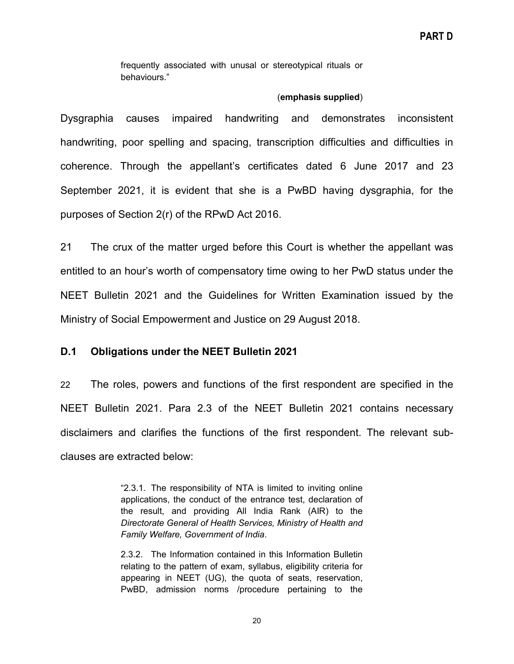frequently associated with unusal or stereotypical rituals or behaviours."

#### (**emphasis supplied**)

Dysgraphia causes impaired handwriting and demonstrates inconsistent handwriting, poor spelling and spacing, transcription difficulties and difficulties in coherence. Through the appellant's certificates dated 6 June 2017 and 23 September 2021, it is evident that she is a PwBD having dysgraphia, for the purposes of Section 2(r) of the RPwD Act 2016.

21 The crux of the matter urged before this Court is whether the appellant was entitled to an hour's worth of compensatory time owing to her PwD status under the NEET Bulletin 2021 and the Guidelines for Written Examination issued by the Ministry of Social Empowerment and Justice on 29 August 2018.

# <span id="page-19-0"></span>**D.1 Obligations under the NEET Bulletin 2021**

22 The roles, powers and functions of the first respondent are specified in the NEET Bulletin 2021. Para 2.3 of the NEET Bulletin 2021 contains necessary disclaimers and clarifies the functions of the first respondent. The relevant subclauses are extracted below:

> "2.3.1. The responsibility of NTA is limited to inviting online applications, the conduct of the entrance test, declaration of the result, and providing All India Rank (AIR) to the *Directorate General of Health Services, Ministry of Health and Family Welfare, Government of India*.

> 2.3.2. The Information contained in this Information Bulletin relating to the pattern of exam, syllabus, eligibility criteria for appearing in NEET (UG), the quota of seats, reservation, PwBD, admission norms /procedure pertaining to the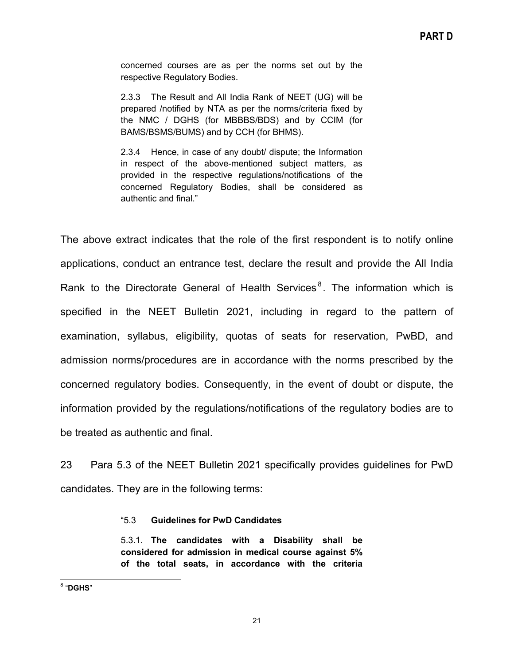concerned courses are as per the norms set out by the respective Regulatory Bodies.

2.3.3 The Result and All India Rank of NEET (UG) will be prepared /notified by NTA as per the norms/criteria fixed by the NMC / DGHS (for MBBBS/BDS) and by CCIM (for BAMS/BSMS/BUMS) and by CCH (for BHMS).

2.3.4 Hence, in case of any doubt/ dispute; the Information in respect of the above-mentioned subject matters, as provided in the respective regulations/notifications of the concerned Regulatory Bodies, shall be considered as authentic and final."

The above extract indicates that the role of the first respondent is to notify online applications, conduct an entrance test, declare the result and provide the All India Rank to the Directorate General of Health Services<sup>8</sup>. The information which is specified in the NEET Bulletin 2021, including in regard to the pattern of examination, syllabus, eligibility, quotas of seats for reservation, PwBD, and admission norms/procedures are in accordance with the norms prescribed by the concerned regulatory bodies. Consequently, in the event of doubt or dispute, the information provided by the regulations/notifications of the regulatory bodies are to be treated as authentic and final.

23 Para 5.3 of the NEET Bulletin 2021 specifically provides guidelines for PwD candidates. They are in the following terms:

#### "5.3 **Guidelines for PwD Candidates**

5.3.1. **The candidates with a Disability shall be considered for admission in medical course against 5% of the total seats, in accordance with the criteria**

<sup>8</sup> "**DGHS**"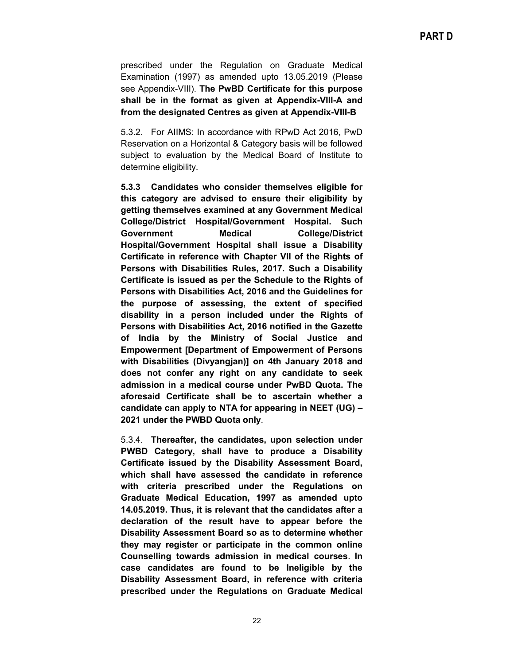prescribed under the Regulation on Graduate Medical Examination (1997) as amended upto 13.05.2019 (Please see Appendix-VIII). **The PwBD Certificate for this purpose shall be in the format as given at Appendix-VIII-A and from the designated Centres as given at Appendix-VIII-B**

5.3.2. For AIIMS: In accordance with RPwD Act 2016, PwD Reservation on a Horizontal & Category basis will be followed subject to evaluation by the Medical Board of Institute to determine eligibility.

**5.3.3 Candidates who consider themselves eligible for this category are advised to ensure their eligibility by getting themselves examined at any Government Medical College/District Hospital/Government Hospital. Such Government Medical College/District Hospital/Government Hospital shall issue a Disability Certificate in reference with Chapter VII of the Rights of Persons with Disabilities Rules, 2017. Such a Disability Certificate is issued as per the Schedule to the Rights of Persons with Disabilities Act, 2016 and the Guidelines for the purpose of assessing, the extent of specified disability in a person included under the Rights of Persons with Disabilities Act, 2016 notified in the Gazette of India by the Ministry of Social Justice and Empowerment [Department of Empowerment of Persons with Disabilities (Divyangjan)] on 4th January 2018 and does not confer any right on any candidate to seek admission in a medical course under PwBD Quota. The aforesaid Certificate shall be to ascertain whether a candidate can apply to NTA for appearing in NEET (UG) – 2021 under the PWBD Quota only**.

5.3.4. **Thereafter, the candidates, upon selection under PWBD Category, shall have to produce a Disability Certificate issued by the Disability Assessment Board, which shall have assessed the candidate in reference with criteria prescribed under the Regulations on Graduate Medical Education, 1997 as amended upto 14.05.2019. Thus, it is relevant that the candidates after a declaration of the result have to appear before the Disability Assessment Board so as to determine whether they may register or participate in the common online Counselling towards admission in medical courses**. **In case candidates are found to be Ineligible by the Disability Assessment Board, in reference with criteria prescribed under the Regulations on Graduate Medical**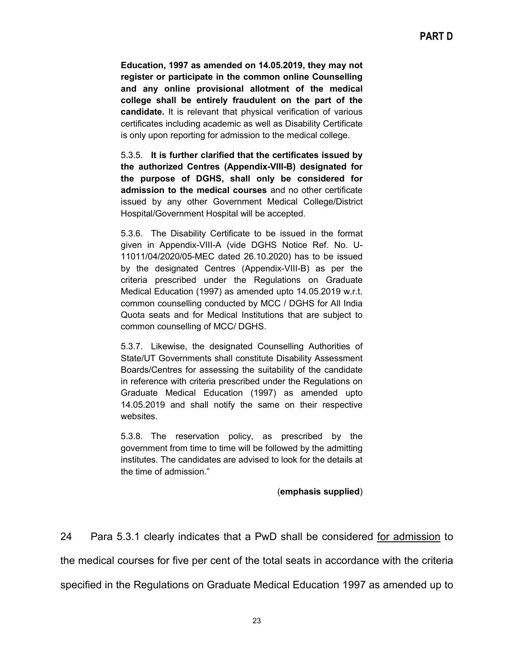**Education, 1997 as amended on 14.05.2019, they may not register or participate in the common online Counselling and any online provisional allotment of the medical college shall be entirely fraudulent on the part of the candidate.** It is relevant that physical verification of various certificates including academic as well as Disability Certificate is only upon reporting for admission to the medical college.

5.3.5. **It is further clarified that the certificates issued by the authorized Centres (Appendix-VIII-B) designated for the purpose of DGHS, shall only be considered for admission to the medical courses** and no other certificate issued by any other Government Medical College/District Hospital/Government Hospital will be accepted.

5.3.6. The Disability Certificate to be issued in the format given in Appendix-VIII-A (vide DGHS Notice Ref. No. U-11011/04/2020/05-MEC dated 26.10.2020) has to be issued by the designated Centres (Appendix-VIII-B) as per the criteria prescribed under the Regulations on Graduate Medical Education (1997) as amended upto 14.05.2019 w.r.t. common counselling conducted by MCC / DGHS for All India Quota seats and for Medical Institutions that are subject to common counselling of MCC/ DGHS.

5.3.7. Likewise, the designated Counselling Authorities of State/UT Governments shall constitute Disability Assessment Boards/Centres for assessing the suitability of the candidate in reference with criteria prescribed under the Regulations on Graduate Medical Education (1997) as amended upto 14.05.2019 and shall notify the same on their respective websites.

5.3.8. The reservation policy, as prescribed by the government from time to time will be followed by the admitting institutes. The candidates are advised to look for the details at the time of admission."

#### (**emphasis supplied**)

24 Para 5.3.1 clearly indicates that a PwD shall be considered for admission to the medical courses for five per cent of the total seats in accordance with the criteria specified in the Regulations on Graduate Medical Education 1997 as amended up to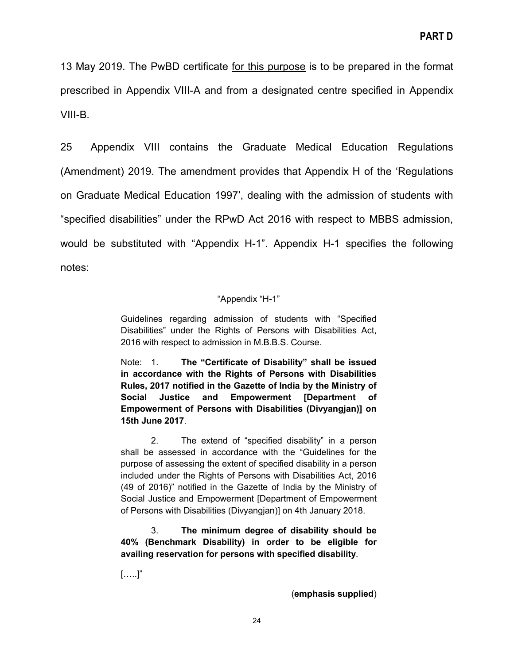13 May 2019. The PwBD certificate for this purpose is to be prepared in the format prescribed in Appendix VIII-A and from a designated centre specified in Appendix VIII-B.

25 Appendix VIII contains the Graduate Medical Education Regulations (Amendment) 2019. The amendment provides that Appendix H of the 'Regulations on Graduate Medical Education 1997', dealing with the admission of students with "specified disabilities" under the RPwD Act 2016 with respect to MBBS admission, would be substituted with "Appendix H-1". Appendix H-1 specifies the following notes:

#### "Appendix "H-1"

Guidelines regarding admission of students with "Specified Disabilities" under the Rights of Persons with Disabilities Act, 2016 with respect to admission in M.B.B.S. Course.

Note: 1. **The "Certificate of Disability" shall be issued in accordance with the Rights of Persons with Disabilities Rules, 2017 notified in the Gazette of India by the Ministry of Social Justice and Empowerment [Department of Empowerment of Persons with Disabilities (Divyangjan)] on 15th June 2017**.

2. The extend of "specified disability" in a person shall be assessed in accordance with the "Guidelines for the purpose of assessing the extent of specified disability in a person included under the Rights of Persons with Disabilities Act, 2016 (49 of 2016)" notified in the Gazette of India by the Ministry of Social Justice and Empowerment [Department of Empowerment of Persons with Disabilities (Divyangjan)] on 4th January 2018.

3. **The minimum degree of disability should be 40% (Benchmark Disability) in order to be eligible for availing reservation for persons with specified disability**.

[…..]"

(**emphasis supplied**)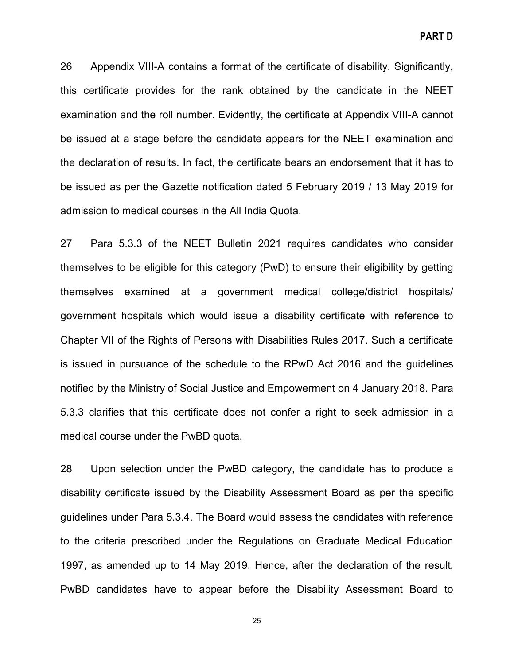26 Appendix VIII-A contains a format of the certificate of disability. Significantly, this certificate provides for the rank obtained by the candidate in the NEET examination and the roll number. Evidently, the certificate at Appendix VIII-A cannot be issued at a stage before the candidate appears for the NEET examination and the declaration of results. In fact, the certificate bears an endorsement that it has to be issued as per the Gazette notification dated 5 February 2019 / 13 May 2019 for admission to medical courses in the All India Quota.

27 Para 5.3.3 of the NEET Bulletin 2021 requires candidates who consider themselves to be eligible for this category (PwD) to ensure their eligibility by getting themselves examined at a government medical college/district hospitals/ government hospitals which would issue a disability certificate with reference to Chapter VII of the Rights of Persons with Disabilities Rules 2017. Such a certificate is issued in pursuance of the schedule to the RPwD Act 2016 and the guidelines notified by the Ministry of Social Justice and Empowerment on 4 January 2018. Para 5.3.3 clarifies that this certificate does not confer a right to seek admission in a medical course under the PwBD quota.

28 Upon selection under the PwBD category, the candidate has to produce a disability certificate issued by the Disability Assessment Board as per the specific guidelines under Para 5.3.4. The Board would assess the candidates with reference to the criteria prescribed under the Regulations on Graduate Medical Education 1997, as amended up to 14 May 2019. Hence, after the declaration of the result, PwBD candidates have to appear before the Disability Assessment Board to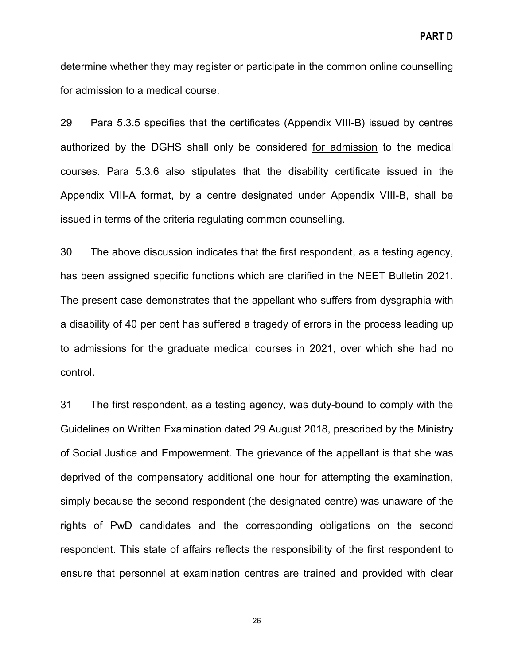determine whether they may register or participate in the common online counselling for admission to a medical course.

29 Para 5.3.5 specifies that the certificates (Appendix VIII-B) issued by centres authorized by the DGHS shall only be considered for admission to the medical courses. Para 5.3.6 also stipulates that the disability certificate issued in the Appendix VIII-A format, by a centre designated under Appendix VIII-B, shall be issued in terms of the criteria regulating common counselling.

30 The above discussion indicates that the first respondent, as a testing agency, has been assigned specific functions which are clarified in the NEET Bulletin 2021. The present case demonstrates that the appellant who suffers from dysgraphia with a disability of 40 per cent has suffered a tragedy of errors in the process leading up to admissions for the graduate medical courses in 2021, over which she had no control.

31 The first respondent, as a testing agency, was duty-bound to comply with the Guidelines on Written Examination dated 29 August 2018, prescribed by the Ministry of Social Justice and Empowerment. The grievance of the appellant is that she was deprived of the compensatory additional one hour for attempting the examination, simply because the second respondent (the designated centre) was unaware of the rights of PwD candidates and the corresponding obligations on the second respondent. This state of affairs reflects the responsibility of the first respondent to ensure that personnel at examination centres are trained and provided with clear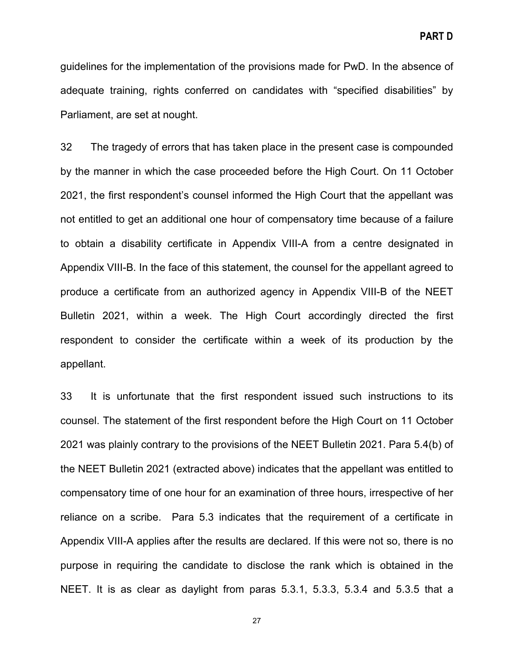guidelines for the implementation of the provisions made for PwD. In the absence of adequate training, rights conferred on candidates with "specified disabilities" by Parliament, are set at nought.

32 The tragedy of errors that has taken place in the present case is compounded by the manner in which the case proceeded before the High Court. On 11 October 2021, the first respondent's counsel informed the High Court that the appellant was not entitled to get an additional one hour of compensatory time because of a failure to obtain a disability certificate in Appendix VIII-A from a centre designated in Appendix VIII-B. In the face of this statement, the counsel for the appellant agreed to produce a certificate from an authorized agency in Appendix VIII-B of the NEET Bulletin 2021, within a week. The High Court accordingly directed the first respondent to consider the certificate within a week of its production by the appellant.

33 It is unfortunate that the first respondent issued such instructions to its counsel. The statement of the first respondent before the High Court on 11 October 2021 was plainly contrary to the provisions of the NEET Bulletin 2021. Para 5.4(b) of the NEET Bulletin 2021 (extracted above) indicates that the appellant was entitled to compensatory time of one hour for an examination of three hours, irrespective of her reliance on a scribe. Para 5.3 indicates that the requirement of a certificate in Appendix VIII-A applies after the results are declared. If this were not so, there is no purpose in requiring the candidate to disclose the rank which is obtained in the NEET. It is as clear as daylight from paras 5.3.1, 5.3.3, 5.3.4 and 5.3.5 that a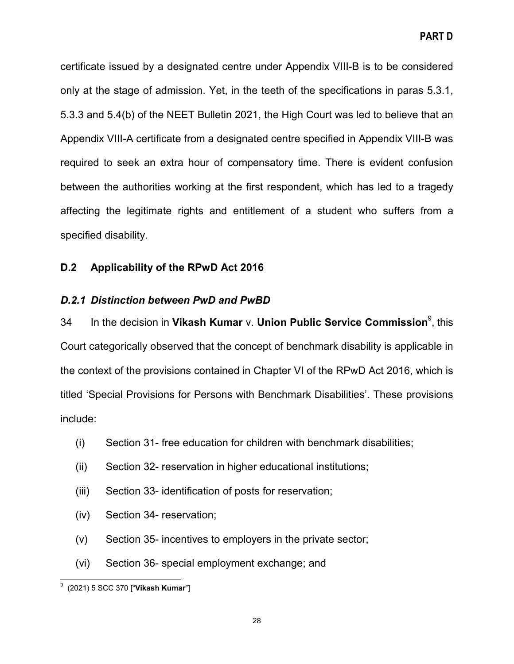**PART D**

certificate issued by a designated centre under Appendix VIII-B is to be considered only at the stage of admission. Yet, in the teeth of the specifications in paras 5.3.1, 5.3.3 and 5.4(b) of the NEET Bulletin 2021, the High Court was led to believe that an Appendix VIII-A certificate from a designated centre specified in Appendix VIII-B was required to seek an extra hour of compensatory time. There is evident confusion between the authorities working at the first respondent, which has led to a tragedy affecting the legitimate rights and entitlement of a student who suffers from a specified disability.

# <span id="page-27-0"></span>**D.2 Applicability of the RPwD Act 2016**

# <span id="page-27-1"></span>*D.2.1 Distinction between PwD and PwBD*

34 In the decision in **Vikash Kumar** v. **Union Public Service Commission**<sup>9</sup> , this Court categorically observed that the concept of benchmark disability is applicable in the context of the provisions contained in Chapter VI of the RPwD Act 2016, which is titled 'Special Provisions for Persons with Benchmark Disabilities'. These provisions include:

- (i) Section 31- free education for children with benchmark disabilities;
- (ii) Section 32- reservation in higher educational institutions;
- (iii) Section 33- identification of posts for reservation;
- (iv) Section 34- reservation;
- (v) Section 35- incentives to employers in the private sector;
- (vi) Section 36- special employment exchange; and

9 (2021) 5 SCC 370 ["**Vikash Kumar**"]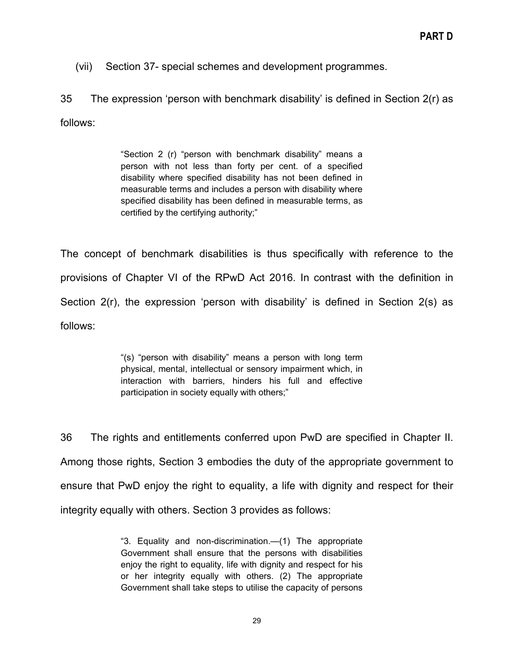(vii) Section 37- special schemes and development programmes.

35 The expression 'person with benchmark disability' is defined in Section 2(r) as follows:

> "Section 2 (r) "person with benchmark disability" means a person with not less than forty per cent. of a specified disability where specified disability has not been defined in measurable terms and includes a person with disability where specified disability has been defined in measurable terms, as certified by the certifying authority;"

The concept of benchmark disabilities is thus specifically with reference to the provisions of Chapter VI of the RPwD Act 2016. In contrast with the definition in Section 2(r), the expression 'person with disability' is defined in Section 2(s) as follows:

> "(s) "person with disability" means a person with long term physical, mental, intellectual or sensory impairment which, in interaction with barriers, hinders his full and effective participation in society equally with others;"

36 The rights and entitlements conferred upon PwD are specified in Chapter II. Among those rights, Section 3 embodies the duty of the appropriate government to ensure that PwD enjoy the right to equality, a life with dignity and respect for their integrity equally with others. Section 3 provides as follows:

> "3. Equality and non-discrimination.—(1) The appropriate Government shall ensure that the persons with disabilities enjoy the right to equality, life with dignity and respect for his or her integrity equally with others. (2) The appropriate Government shall take steps to utilise the capacity of persons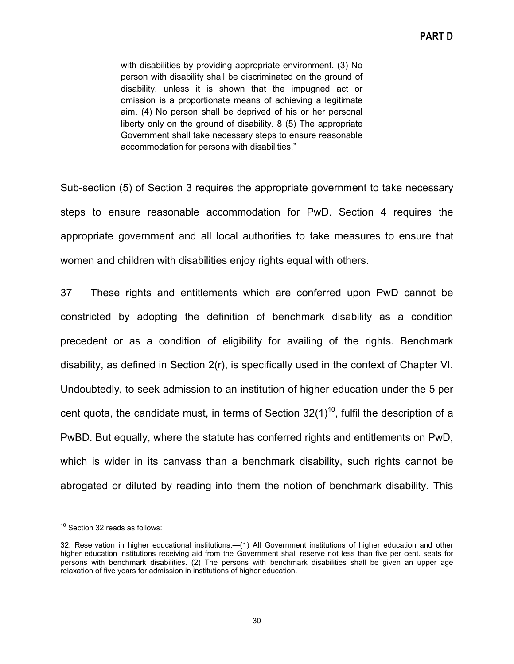with disabilities by providing appropriate environment. (3) No person with disability shall be discriminated on the ground of disability, unless it is shown that the impugned act or omission is a proportionate means of achieving a legitimate aim. (4) No person shall be deprived of his or her personal liberty only on the ground of disability. 8 (5) The appropriate Government shall take necessary steps to ensure reasonable accommodation for persons with disabilities."

Sub-section (5) of Section 3 requires the appropriate government to take necessary steps to ensure reasonable accommodation for PwD. Section 4 requires the appropriate government and all local authorities to take measures to ensure that women and children with disabilities enjoy rights equal with others.

37 These rights and entitlements which are conferred upon PwD cannot be constricted by adopting the definition of benchmark disability as a condition precedent or as a condition of eligibility for availing of the rights. Benchmark disability, as defined in Section 2(r), is specifically used in the context of Chapter VI. Undoubtedly, to seek admission to an institution of higher education under the 5 per cent quota, the candidate must, in terms of Section  $32(1)^{10}$ , fulfil the description of a PwBD. But equally, where the statute has conferred rights and entitlements on PwD, which is wider in its canvass than a benchmark disability, such rights cannot be abrogated or diluted by reading into them the notion of benchmark disability. This

 $10$  Section 32 reads as follows:

<sup>32.</sup> Reservation in higher educational institutions.—(1) All Government institutions of higher education and other higher education institutions receiving aid from the Government shall reserve not less than five per cent. seats for persons with benchmark disabilities. (2) The persons with benchmark disabilities shall be given an upper age relaxation of five years for admission in institutions of higher education.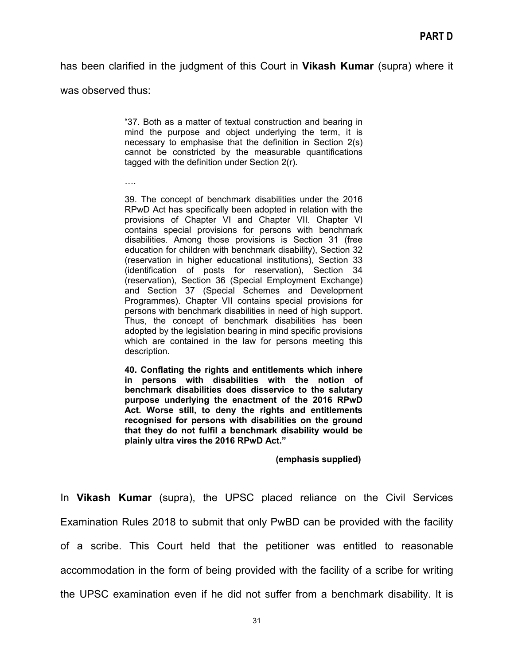has been clarified in the judgment of this Court in **Vikash Kumar** (supra) where it

was observed thus:

"37. Both as a matter of textual construction and bearing in mind the purpose and object underlying the term, it is necessary to emphasise that the definition in Section 2(s) cannot be constricted by the measurable quantifications tagged with the definition under Section 2(r).

….

39. The concept of benchmark disabilities under the 2016 RPwD Act has specifically been adopted in relation with the provisions of Chapter VI and Chapter VII. Chapter VI contains special provisions for persons with benchmark disabilities. Among those provisions is Section 31 (free education for children with benchmark disability), Section 32 (reservation in higher educational institutions), Section 33 (identification of posts for reservation), Section 34 (reservation), Section 36 (Special Employment Exchange) and Section 37 (Special Schemes and Development Programmes). Chapter VII contains special provisions for persons with benchmark disabilities in need of high support. Thus, the concept of benchmark disabilities has been adopted by the legislation bearing in mind specific provisions which are contained in the law for persons meeting this description.

**40. Conflating the rights and entitlements which inhere in persons with disabilities with the notion of benchmark disabilities does disservice to the salutary purpose underlying the enactment of the 2016 RPwD Act. Worse still, to deny the rights and entitlements recognised for persons with disabilities on the ground that they do not fulfil a benchmark disability would be plainly ultra vires the 2016 RPwD Act."**

**(emphasis supplied)**

In **Vikash Kumar** (supra), the UPSC placed reliance on the Civil Services Examination Rules 2018 to submit that only PwBD can be provided with the facility of a scribe. This Court held that the petitioner was entitled to reasonable accommodation in the form of being provided with the facility of a scribe for writing the UPSC examination even if he did not suffer from a benchmark disability. It is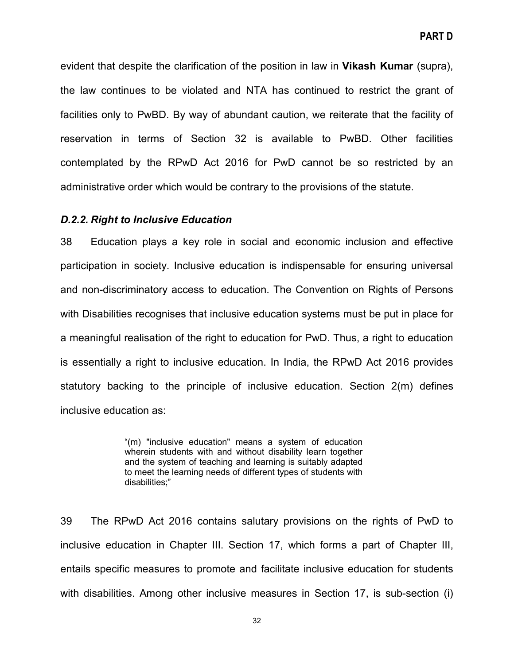evident that despite the clarification of the position in law in **Vikash Kumar** (supra), the law continues to be violated and NTA has continued to restrict the grant of facilities only to PwBD. By way of abundant caution, we reiterate that the facility of reservation in terms of Section 32 is available to PwBD. Other facilities contemplated by the RPwD Act 2016 for PwD cannot be so restricted by an administrative order which would be contrary to the provisions of the statute.

#### <span id="page-31-0"></span>*D.2.2. Right to Inclusive Education*

38 Education plays a key role in social and economic inclusion and effective participation in society. Inclusive education is indispensable for ensuring universal and non-discriminatory access to education. The Convention on Rights of Persons with Disabilities recognises that inclusive education systems must be put in place for a meaningful realisation of the right to education for PwD. Thus, a right to education is essentially a right to inclusive education. In India, the RPwD Act 2016 provides statutory backing to the principle of inclusive education. Section 2(m) defines inclusive education as:

> "(m) "inclusive education" means a system of education wherein students with and without disability learn together and the system of teaching and learning is suitably adapted to meet the learning needs of different types of students with disabilities;"

39 The RPwD Act 2016 contains salutary provisions on the rights of PwD to inclusive education in Chapter III. Section 17, which forms a part of Chapter III, entails specific measures to promote and facilitate inclusive education for students with disabilities. Among other inclusive measures in Section 17, is sub-section (i)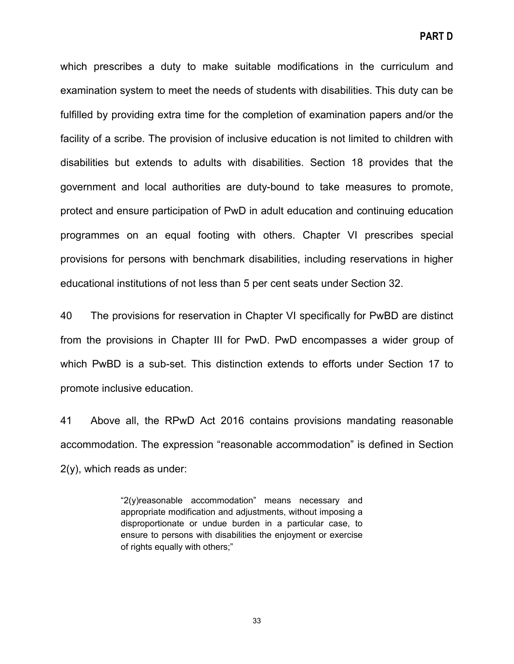which prescribes a duty to make suitable modifications in the curriculum and examination system to meet the needs of students with disabilities. This duty can be fulfilled by providing extra time for the completion of examination papers and/or the facility of a scribe. The provision of inclusive education is not limited to children with disabilities but extends to adults with disabilities. Section 18 provides that the government and local authorities are duty-bound to take measures to promote, protect and ensure participation of PwD in adult education and continuing education programmes on an equal footing with others. Chapter VI prescribes special provisions for persons with benchmark disabilities, including reservations in higher educational institutions of not less than 5 per cent seats under Section 32.

40 The provisions for reservation in Chapter VI specifically for PwBD are distinct from the provisions in Chapter III for PwD. PwD encompasses a wider group of which PwBD is a sub-set. This distinction extends to efforts under Section 17 to promote inclusive education.

41 Above all, the RPwD Act 2016 contains provisions mandating reasonable accommodation. The expression "reasonable accommodation" is defined in Section 2(y), which reads as under:

> "2(y)reasonable accommodation" means necessary and appropriate modification and adjustments, without imposing a disproportionate or undue burden in a particular case, to ensure to persons with disabilities the enjoyment or exercise of rights equally with others;"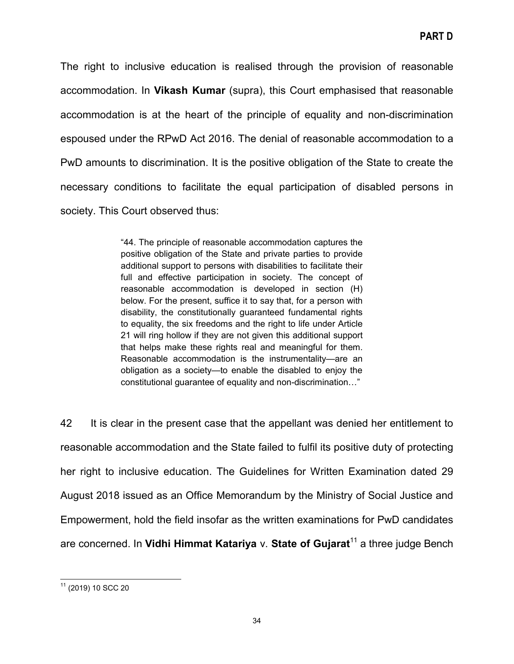The right to inclusive education is realised through the provision of reasonable accommodation. In **Vikash Kumar** (supra), this Court emphasised that reasonable accommodation is at the heart of the principle of equality and non-discrimination espoused under the RPwD Act 2016. The denial of reasonable accommodation to a PwD amounts to discrimination. It is the positive obligation of the State to create the necessary conditions to facilitate the equal participation of disabled persons in society. This Court observed thus:

> "44. The principle of reasonable accommodation captures the positive obligation of the State and private parties to provide additional support to persons with disabilities to facilitate their full and effective participation in society. The concept of reasonable accommodation is developed in section (H) below. For the present, suffice it to say that, for a person with disability, the constitutionally guaranteed fundamental rights to equality, the six freedoms and the right to life under Article 21 will ring hollow if they are not given this additional support that helps make these rights real and meaningful for them. Reasonable accommodation is the instrumentality—are an obligation as a society—to enable the disabled to enjoy the constitutional guarantee of equality and non-discrimination…"

42 It is clear in the present case that the appellant was denied her entitlement to reasonable accommodation and the State failed to fulfil its positive duty of protecting her right to inclusive education. The Guidelines for Written Examination dated 29 August 2018 issued as an Office Memorandum by the Ministry of Social Justice and Empowerment, hold the field insofar as the written examinations for PwD candidates are concerned. In **Vidhi Himmat Katariya** v. **State of Gujarat**<sup>11</sup> a three judge Bench

<sup>11</sup> (2019) 10 SCC 20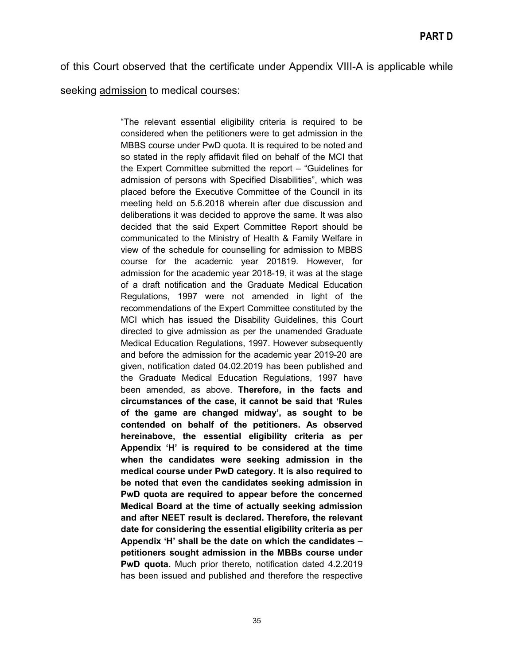of this Court observed that the certificate under Appendix VIII-A is applicable while seeking admission to medical courses:

> "The relevant essential eligibility criteria is required to be considered when the petitioners were to get admission in the MBBS course under PwD quota. It is required to be noted and so stated in the reply affidavit filed on behalf of the MCI that the Expert Committee submitted the report – "Guidelines for admission of persons with Specified Disabilities", which was placed before the Executive Committee of the Council in its meeting held on 5.6.2018 wherein after due discussion and deliberations it was decided to approve the same. It was also decided that the said Expert Committee Report should be communicated to the Ministry of Health & Family Welfare in view of the schedule for counselling for admission to MBBS course for the academic year 201819. However, for admission for the academic year 2018-19, it was at the stage of a draft notification and the Graduate Medical Education Regulations, 1997 were not amended in light of the recommendations of the Expert Committee constituted by the MCI which has issued the Disability Guidelines, this Court directed to give admission as per the unamended Graduate Medical Education Regulations, 1997. However subsequently and before the admission for the academic year 2019-20 are given, notification dated 04.02.2019 has been published and the Graduate Medical Education Regulations, 1997 have been amended, as above. **Therefore, in the facts and circumstances of the case, it cannot be said that 'Rules of the game are changed midway', as sought to be contended on behalf of the petitioners. As observed hereinabove, the essential eligibility criteria as per Appendix 'H' is required to be considered at the time when the candidates were seeking admission in the medical course under PwD category. It is also required to be noted that even the candidates seeking admission in PwD quota are required to appear before the concerned Medical Board at the time of actually seeking admission and after NEET result is declared. Therefore, the relevant date for considering the essential eligibility criteria as per Appendix 'H' shall be the date on which the candidates – petitioners sought admission in the MBBs course under PwD quota.** Much prior thereto, notification dated 4.2.2019 has been issued and published and therefore the respective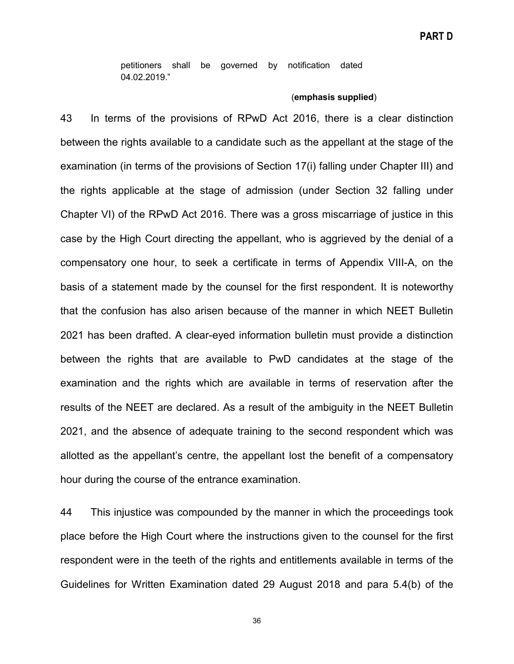petitioners shall be governed by notification dated 04.02.2019."

#### (**emphasis supplied**)

43 In terms of the provisions of RPwD Act 2016, there is a clear distinction between the rights available to a candidate such as the appellant at the stage of the examination (in terms of the provisions of Section 17(i) falling under Chapter III) and the rights applicable at the stage of admission (under Section 32 falling under Chapter VI) of the RPwD Act 2016. There was a gross miscarriage of justice in this case by the High Court directing the appellant, who is aggrieved by the denial of a compensatory one hour, to seek a certificate in terms of Appendix VIII-A, on the basis of a statement made by the counsel for the first respondent. It is noteworthy that the confusion has also arisen because of the manner in which NEET Bulletin 2021 has been drafted. A clear-eyed information bulletin must provide a distinction between the rights that are available to PwD candidates at the stage of the examination and the rights which are available in terms of reservation after the results of the NEET are declared. As a result of the ambiguity in the NEET Bulletin 2021, and the absence of adequate training to the second respondent which was allotted as the appellant's centre, the appellant lost the benefit of a compensatory hour during the course of the entrance examination.

44 This injustice was compounded by the manner in which the proceedings took place before the High Court where the instructions given to the counsel for the first respondent were in the teeth of the rights and entitlements available in terms of the Guidelines for Written Examination dated 29 August 2018 and para 5.4(b) of the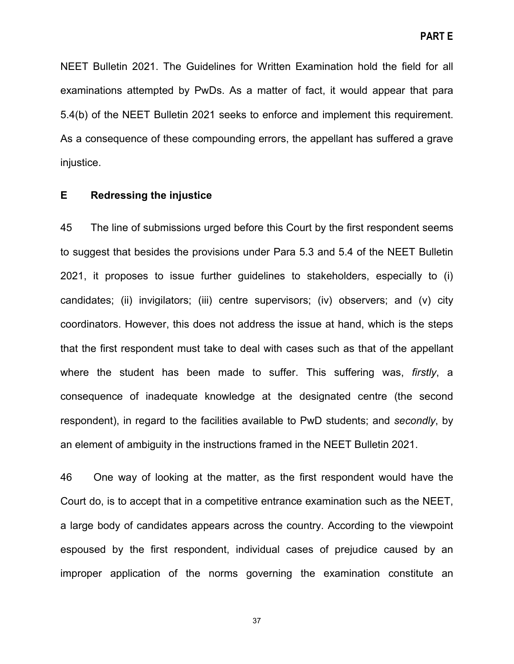NEET Bulletin 2021. The Guidelines for Written Examination hold the field for all examinations attempted by PwDs. As a matter of fact, it would appear that para 5.4(b) of the NEET Bulletin 2021 seeks to enforce and implement this requirement. As a consequence of these compounding errors, the appellant has suffered a grave injustice.

# <span id="page-36-0"></span>**E Redressing the injustice**

45 The line of submissions urged before this Court by the first respondent seems to suggest that besides the provisions under Para 5.3 and 5.4 of the NEET Bulletin 2021, it proposes to issue further guidelines to stakeholders, especially to (i) candidates; (ii) invigilators; (iii) centre supervisors; (iv) observers; and (v) city coordinators. However, this does not address the issue at hand, which is the steps that the first respondent must take to deal with cases such as that of the appellant where the student has been made to suffer. This suffering was, *firstly*, a consequence of inadequate knowledge at the designated centre (the second respondent), in regard to the facilities available to PwD students; and *secondly*, by an element of ambiguity in the instructions framed in the NEET Bulletin 2021.

46 One way of looking at the matter, as the first respondent would have the Court do, is to accept that in a competitive entrance examination such as the NEET, a large body of candidates appears across the country. According to the viewpoint espoused by the first respondent, individual cases of prejudice caused by an improper application of the norms governing the examination constitute an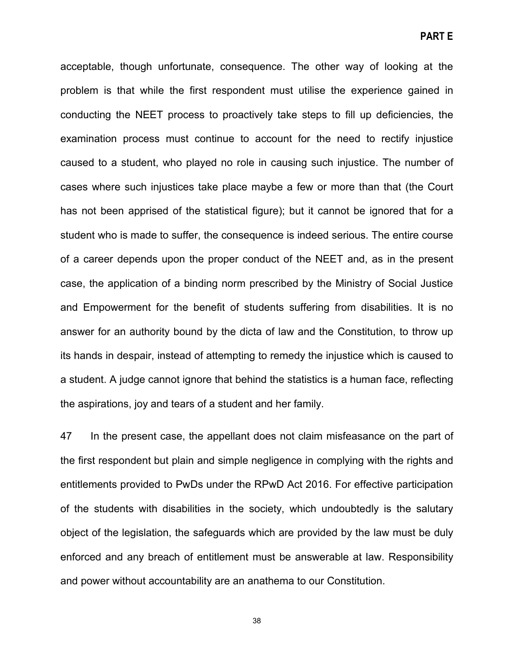acceptable, though unfortunate, consequence. The other way of looking at the problem is that while the first respondent must utilise the experience gained in conducting the NEET process to proactively take steps to fill up deficiencies, the examination process must continue to account for the need to rectify injustice caused to a student, who played no role in causing such injustice. The number of cases where such injustices take place maybe a few or more than that (the Court has not been apprised of the statistical figure); but it cannot be ignored that for a student who is made to suffer, the consequence is indeed serious. The entire course of a career depends upon the proper conduct of the NEET and, as in the present case, the application of a binding norm prescribed by the Ministry of Social Justice and Empowerment for the benefit of students suffering from disabilities. It is no answer for an authority bound by the dicta of law and the Constitution, to throw up its hands in despair, instead of attempting to remedy the injustice which is caused to a student. A judge cannot ignore that behind the statistics is a human face, reflecting the aspirations, joy and tears of a student and her family.

47 In the present case, the appellant does not claim misfeasance on the part of the first respondent but plain and simple negligence in complying with the rights and entitlements provided to PwDs under the RPwD Act 2016. For effective participation of the students with disabilities in the society, which undoubtedly is the salutary object of the legislation, the safeguards which are provided by the law must be duly enforced and any breach of entitlement must be answerable at law. Responsibility and power without accountability are an anathema to our Constitution.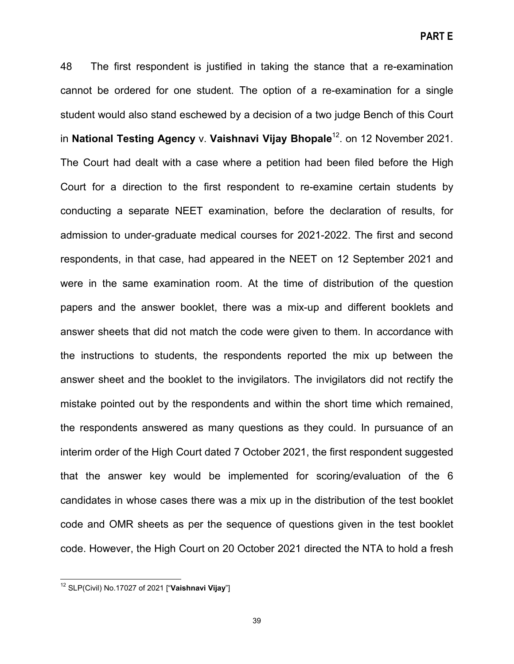48 The first respondent is justified in taking the stance that a re-examination cannot be ordered for one student. The option of a re-examination for a single student would also stand eschewed by a decision of a two judge Bench of this Court in **National Testing Agency** v. **Vaishnavi Vijay Bhopale**12. on 12 November 2021. The Court had dealt with a case where a petition had been filed before the High Court for a direction to the first respondent to re-examine certain students by conducting a separate NEET examination, before the declaration of results, for admission to under-graduate medical courses for 2021-2022. The first and second respondents, in that case, had appeared in the NEET on 12 September 2021 and were in the same examination room. At the time of distribution of the question papers and the answer booklet, there was a mix-up and different booklets and answer sheets that did not match the code were given to them. In accordance with the instructions to students, the respondents reported the mix up between the answer sheet and the booklet to the invigilators. The invigilators did not rectify the mistake pointed out by the respondents and within the short time which remained, the respondents answered as many questions as they could. In pursuance of an interim order of the High Court dated 7 October 2021, the first respondent suggested that the answer key would be implemented for scoring/evaluation of the 6 candidates in whose cases there was a mix up in the distribution of the test booklet code and OMR sheets as per the sequence of questions given in the test booklet code. However, the High Court on 20 October 2021 directed the NTA to hold a fresh

<sup>12</sup> SLP(Civil) No.17027 of 2021 ["**Vaishnavi Vijay**"]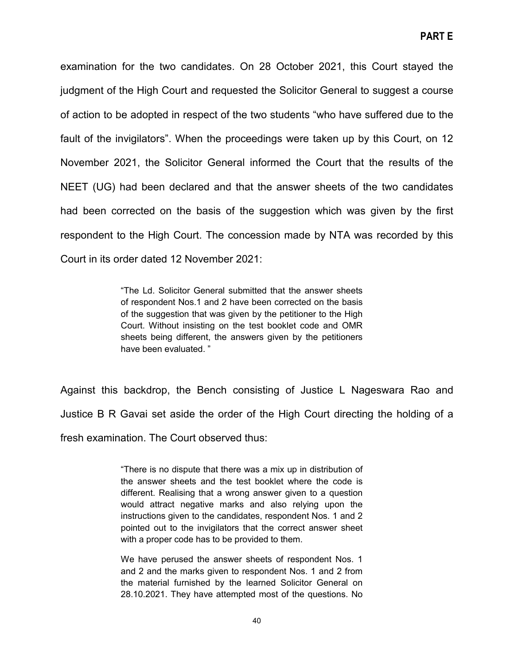examination for the two candidates. On 28 October 2021, this Court stayed the judgment of the High Court and requested the Solicitor General to suggest a course of action to be adopted in respect of the two students "who have suffered due to the fault of the invigilators". When the proceedings were taken up by this Court, on 12 November 2021, the Solicitor General informed the Court that the results of the NEET (UG) had been declared and that the answer sheets of the two candidates had been corrected on the basis of the suggestion which was given by the first respondent to the High Court. The concession made by NTA was recorded by this Court in its order dated 12 November 2021:

> "The Ld. Solicitor General submitted that the answer sheets of respondent Nos.1 and 2 have been corrected on the basis of the suggestion that was given by the petitioner to the High Court. Without insisting on the test booklet code and OMR sheets being different, the answers given by the petitioners have been evaluated. "

Against this backdrop, the Bench consisting of Justice L Nageswara Rao and Justice B R Gavai set aside the order of the High Court directing the holding of a fresh examination. The Court observed thus:

> "There is no dispute that there was a mix up in distribution of the answer sheets and the test booklet where the code is different. Realising that a wrong answer given to a question would attract negative marks and also relying upon the instructions given to the candidates, respondent Nos. 1 and 2 pointed out to the invigilators that the correct answer sheet with a proper code has to be provided to them.

> We have perused the answer sheets of respondent Nos. 1 and 2 and the marks given to respondent Nos. 1 and 2 from the material furnished by the learned Solicitor General on 28.10.2021. They have attempted most of the questions. No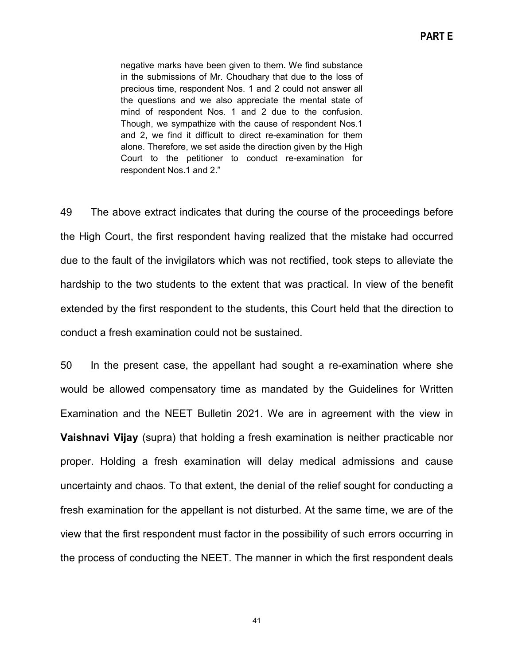negative marks have been given to them. We find substance in the submissions of Mr. Choudhary that due to the loss of precious time, respondent Nos. 1 and 2 could not answer all the questions and we also appreciate the mental state of mind of respondent Nos. 1 and 2 due to the confusion. Though, we sympathize with the cause of respondent Nos.1 and 2, we find it difficult to direct re-examination for them alone. Therefore, we set aside the direction given by the High Court to the petitioner to conduct re-examination for respondent Nos.1 and 2."

49 The above extract indicates that during the course of the proceedings before the High Court, the first respondent having realized that the mistake had occurred due to the fault of the invigilators which was not rectified, took steps to alleviate the hardship to the two students to the extent that was practical. In view of the benefit extended by the first respondent to the students, this Court held that the direction to conduct a fresh examination could not be sustained.

50 In the present case, the appellant had sought a re-examination where she would be allowed compensatory time as mandated by the Guidelines for Written Examination and the NEET Bulletin 2021. We are in agreement with the view in **Vaishnavi Vijay** (supra) that holding a fresh examination is neither practicable nor proper. Holding a fresh examination will delay medical admissions and cause uncertainty and chaos. To that extent, the denial of the relief sought for conducting a fresh examination for the appellant is not disturbed. At the same time, we are of the view that the first respondent must factor in the possibility of such errors occurring in the process of conducting the NEET. The manner in which the first respondent deals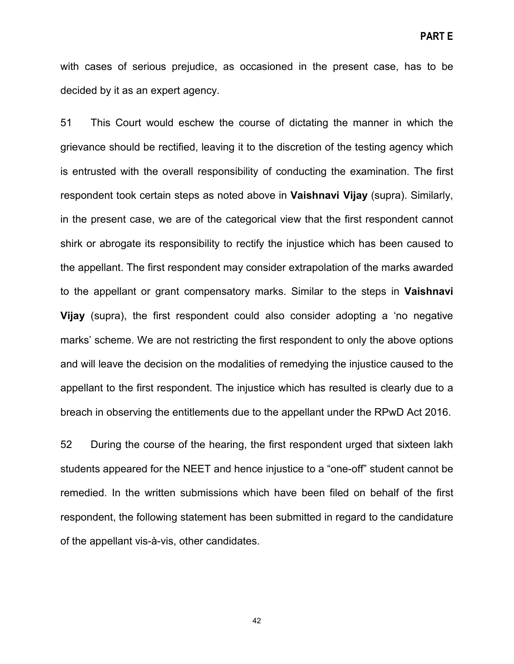with cases of serious prejudice, as occasioned in the present case, has to be decided by it as an expert agency.

51 This Court would eschew the course of dictating the manner in which the grievance should be rectified, leaving it to the discretion of the testing agency which is entrusted with the overall responsibility of conducting the examination. The first respondent took certain steps as noted above in **Vaishnavi Vijay** (supra). Similarly, in the present case, we are of the categorical view that the first respondent cannot shirk or abrogate its responsibility to rectify the injustice which has been caused to the appellant. The first respondent may consider extrapolation of the marks awarded to the appellant or grant compensatory marks. Similar to the steps in **Vaishnavi Vijay** (supra), the first respondent could also consider adopting a 'no negative marks' scheme. We are not restricting the first respondent to only the above options and will leave the decision on the modalities of remedying the injustice caused to the appellant to the first respondent. The injustice which has resulted is clearly due to a breach in observing the entitlements due to the appellant under the RPwD Act 2016.

52 During the course of the hearing, the first respondent urged that sixteen lakh students appeared for the NEET and hence injustice to a "one-off" student cannot be remedied. In the written submissions which have been filed on behalf of the first respondent, the following statement has been submitted in regard to the candidature of the appellant vis-à-vis, other candidates.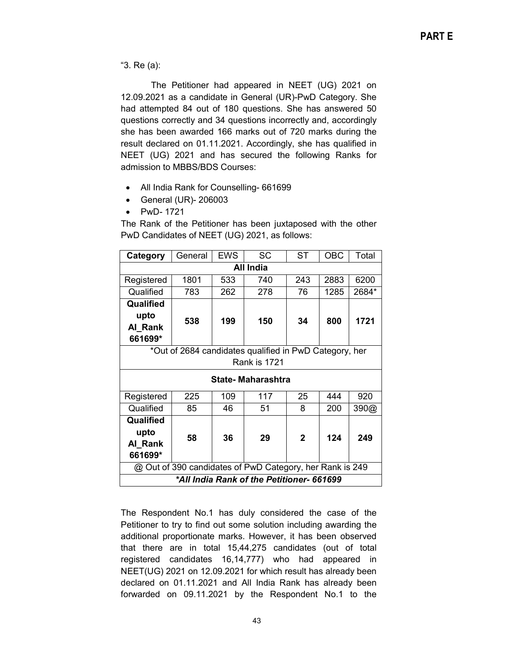"3. Re (a):

The Petitioner had appeared in NEET (UG) 2021 on 12.09.2021 as a candidate in General (UR)-PwD Category. She had attempted 84 out of 180 questions. She has answered 50 questions correctly and 34 questions incorrectly and, accordingly she has been awarded 166 marks out of 720 marks during the result declared on 01.11.2021. Accordingly, she has qualified in NEET (UG) 2021 and has secured the following Ranks for admission to MBBS/BDS Courses:

- All India Rank for Counselling- 661699
- General (UR)- 206003
- PwD- 1721

The Rank of the Petitioner has been juxtaposed with the other PwD Candidates of NEET (UG) 2021, as follows:

| Category                                                 | General | <b>EWS</b> | <b>SC</b>           | <b>ST</b>    | <b>OBC</b> | Total |  |  |
|----------------------------------------------------------|---------|------------|---------------------|--------------|------------|-------|--|--|
| All India                                                |         |            |                     |              |            |       |  |  |
| Registered                                               | 1801    | 533        | 740                 | 243          | 2883       | 6200  |  |  |
| Qualified                                                | 783     | 262        | 278                 | 76           | 1285       | 2684* |  |  |
| Qualified                                                |         |            |                     |              |            |       |  |  |
| upto                                                     | 538     | 199        | 150                 | 34           | 800        | 1721  |  |  |
| Al Rank                                                  |         |            |                     |              |            |       |  |  |
| 661699*                                                  |         |            |                     |              |            |       |  |  |
| *Out of 2684 candidates qualified in PwD Category, her   |         |            |                     |              |            |       |  |  |
|                                                          |         |            | <b>Rank is 1721</b> |              |            |       |  |  |
| <b>State-Maharashtra</b>                                 |         |            |                     |              |            |       |  |  |
| Registered                                               | 225     | 109        | 117                 | 25           | 444        | 920   |  |  |
| Qualified                                                | 85      | 46         | 51                  | 8            | 200        | 390@  |  |  |
| Qualified                                                |         |            |                     |              |            |       |  |  |
| upto                                                     | 58      |            | 36<br>29            | $\mathbf{2}$ | 124        | 249   |  |  |
| Al_Rank                                                  |         |            |                     |              |            |       |  |  |
| 661699*                                                  |         |            |                     |              |            |       |  |  |
| @ Out of 390 candidates of PwD Category, her Rank is 249 |         |            |                     |              |            |       |  |  |
| *All India Rank of the Petitioner- 661699                |         |            |                     |              |            |       |  |  |

The Respondent No.1 has duly considered the case of the Petitioner to try to find out some solution including awarding the additional proportionate marks. However, it has been observed that there are in total 15,44,275 candidates (out of total registered candidates 16,14,777) who had appeared in NEET(UG) 2021 on 12.09.2021 for which result has already been declared on 01.11.2021 and All India Rank has already been forwarded on 09.11.2021 by the Respondent No.1 to the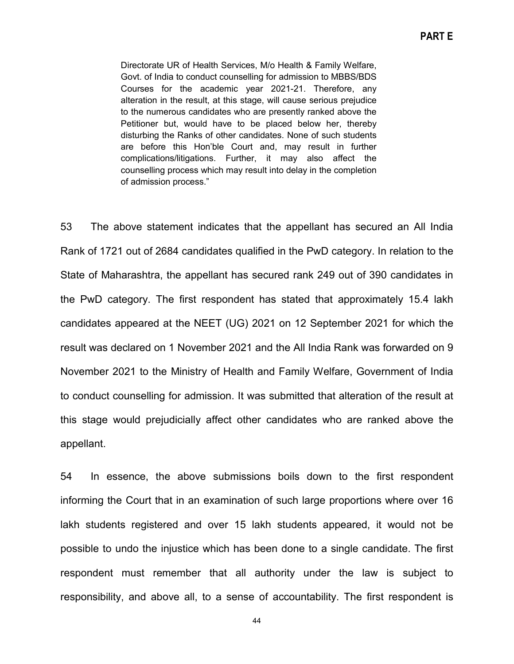Directorate UR of Health Services, M/o Health & Family Welfare, Govt. of India to conduct counselling for admission to MBBS/BDS Courses for the academic year 2021-21. Therefore, any alteration in the result, at this stage, will cause serious prejudice to the numerous candidates who are presently ranked above the Petitioner but, would have to be placed below her, thereby disturbing the Ranks of other candidates. None of such students are before this Hon'ble Court and, may result in further complications/litigations. Further, it may also affect the counselling process which may result into delay in the completion of admission process."

53 The above statement indicates that the appellant has secured an All India Rank of 1721 out of 2684 candidates qualified in the PwD category. In relation to the State of Maharashtra, the appellant has secured rank 249 out of 390 candidates in the PwD category. The first respondent has stated that approximately 15.4 lakh candidates appeared at the NEET (UG) 2021 on 12 September 2021 for which the result was declared on 1 November 2021 and the All India Rank was forwarded on 9 November 2021 to the Ministry of Health and Family Welfare, Government of India to conduct counselling for admission. It was submitted that alteration of the result at this stage would prejudicially affect other candidates who are ranked above the appellant.

54 In essence, the above submissions boils down to the first respondent informing the Court that in an examination of such large proportions where over 16 lakh students registered and over 15 lakh students appeared, it would not be possible to undo the injustice which has been done to a single candidate. The first respondent must remember that all authority under the law is subject to responsibility, and above all, to a sense of accountability. The first respondent is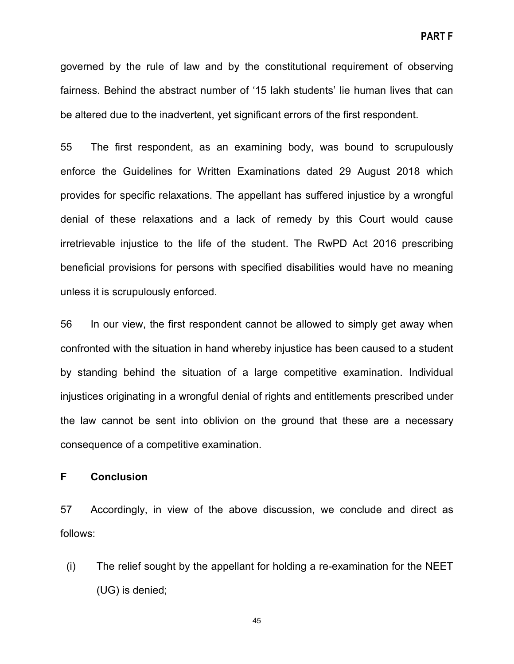governed by the rule of law and by the constitutional requirement of observing fairness. Behind the abstract number of '15 lakh students' lie human lives that can be altered due to the inadvertent, yet significant errors of the first respondent.

55 The first respondent, as an examining body, was bound to scrupulously enforce the Guidelines for Written Examinations dated 29 August 2018 which provides for specific relaxations. The appellant has suffered injustice by a wrongful denial of these relaxations and a lack of remedy by this Court would cause irretrievable injustice to the life of the student. The RwPD Act 2016 prescribing beneficial provisions for persons with specified disabilities would have no meaning unless it is scrupulously enforced.

56 In our view, the first respondent cannot be allowed to simply get away when confronted with the situation in hand whereby injustice has been caused to a student by standing behind the situation of a large competitive examination. Individual injustices originating in a wrongful denial of rights and entitlements prescribed under the law cannot be sent into oblivion on the ground that these are a necessary consequence of a competitive examination.

#### <span id="page-44-0"></span>**F Conclusion**

57 Accordingly, in view of the above discussion, we conclude and direct as follows:

(i) The relief sought by the appellant for holding a re-examination for the NEET (UG) is denied;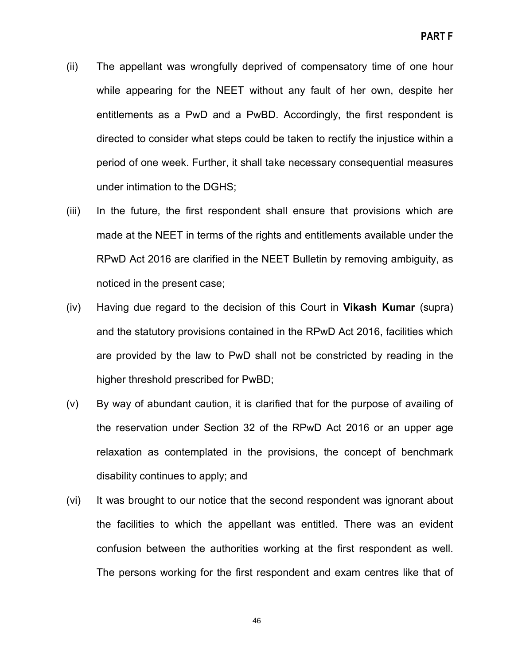- (ii) The appellant was wrongfully deprived of compensatory time of one hour while appearing for the NEET without any fault of her own, despite her entitlements as a PwD and a PwBD. Accordingly, the first respondent is directed to consider what steps could be taken to rectify the injustice within a period of one week. Further, it shall take necessary consequential measures under intimation to the DGHS;
- (iii) In the future, the first respondent shall ensure that provisions which are made at the NEET in terms of the rights and entitlements available under the RPwD Act 2016 are clarified in the NEET Bulletin by removing ambiguity, as noticed in the present case;
- (iv) Having due regard to the decision of this Court in **Vikash Kumar** (supra) and the statutory provisions contained in the RPwD Act 2016, facilities which are provided by the law to PwD shall not be constricted by reading in the higher threshold prescribed for PwBD;
- (v) By way of abundant caution, it is clarified that for the purpose of availing of the reservation under Section 32 of the RPwD Act 2016 or an upper age relaxation as contemplated in the provisions, the concept of benchmark disability continues to apply; and
- (vi) It was brought to our notice that the second respondent was ignorant about the facilities to which the appellant was entitled. There was an evident confusion between the authorities working at the first respondent as well. The persons working for the first respondent and exam centres like that of